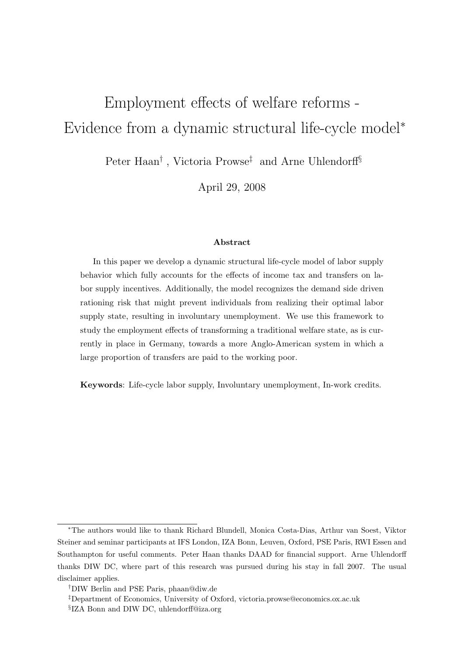# <span id="page-0-0"></span>Employment effects of welfare reforms - Evidence from a dynamic structural life-cycle model<sup>∗</sup>

Peter Haan<sup>†</sup>, Victoria Prowse<sup>‡</sup> and Arne Uhlendorff<sup>§</sup>

April 29, 2008

#### Abstract

In this paper we develop a dynamic structural life-cycle model of labor supply behavior which fully accounts for the effects of income tax and transfers on labor supply incentives. Additionally, the model recognizes the demand side driven rationing risk that might prevent individuals from realizing their optimal labor supply state, resulting in involuntary unemployment. We use this framework to study the employment effects of transforming a traditional welfare state, as is currently in place in Germany, towards a more Anglo-American system in which a large proportion of transfers are paid to the working poor.

Keywords: Life-cycle labor supply, Involuntary unemployment, In-work credits.

<sup>∗</sup>The authors would like to thank Richard Blundell, Monica Costa-Dias, Arthur van Soest, Viktor Steiner and seminar participants at IFS London, IZA Bonn, Leuven, Oxford, PSE Paris, RWI Essen and Southampton for useful comments. Peter Haan thanks DAAD for financial support. Arne Uhlendorff thanks DIW DC, where part of this research was pursued during his stay in fall 2007. The usual disclaimer applies.

<sup>†</sup>DIW Berlin and PSE Paris, phaan@diw.de

<sup>‡</sup>Department of Economics, University of Oxford, victoria.prowse@economics.ox.ac.uk

<sup>§</sup> IZA Bonn and DIW DC, uhlendorff@iza.org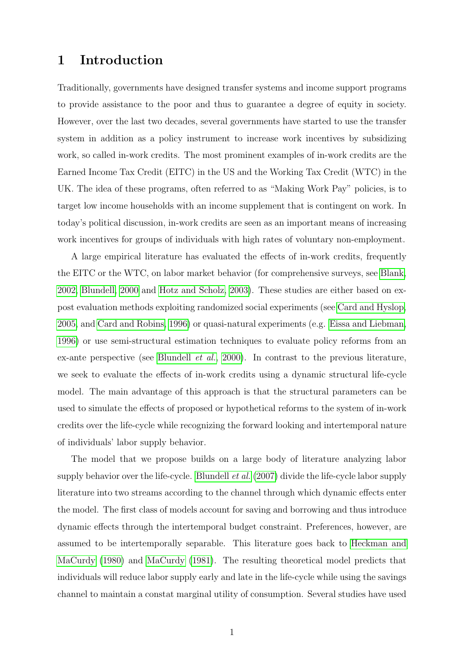## 1 Introduction

Traditionally, governments have designed transfer systems and income support programs to provide assistance to the poor and thus to guarantee a degree of equity in society. However, over the last two decades, several governments have started to use the transfer system in addition as a policy instrument to increase work incentives by subsidizing work, so called in-work credits. The most prominent examples of in-work credits are the Earned Income Tax Credit (EITC) in the US and the Working Tax Credit (WTC) in the UK. The idea of these programs, often referred to as "Making Work Pay" policies, is to target low income households with an income supplement that is contingent on work. In today's political discussion, in-work credits are seen as an important means of increasing work incentives for groups of individuals with high rates of voluntary non-employment.

A large empirical literature has evaluated the effects of in-work credits, frequently the EITC or the WTC, on labor market behavior (for comprehensive surveys, see [Blank,](#page-34-0) [2002,](#page-34-0) [Blundell, 2000](#page-34-1) and [Hotz and Scholz, 2003\)](#page-36-0). These studies are either based on expost evaluation methods exploiting randomized social experiments (see [Card and Hyslop,](#page-35-0) [2005,](#page-35-0) and [Card and Robins, 1996\)](#page-35-1) or quasi-natural experiments (e.g. [Eissa and Liebman,](#page-35-2) [1996\)](#page-35-2) or use semi-structural estimation techniques to evaluate policy reforms from an ex-ante perspective (see [Blundell](#page-34-2) *et al.*, [2000\)](#page-34-2). In contrast to the previous literature, we seek to evaluate the effects of in-work credits using a dynamic structural life-cycle model. The main advantage of this approach is that the structural parameters can be used to simulate the effects of proposed or hypothetical reforms to the system of in-work credits over the life-cycle while recognizing the forward looking and intertemporal nature of individuals' labor supply behavior.

The model that we propose builds on a large body of literature analyzing labor supply behavior over the life-cycle. [Blundell](#page-35-3) *et al.* [\(2007\)](#page-35-3) divide the life-cycle labor supply literature into two streams according to the channel through which dynamic effects enter the model. The first class of models account for saving and borrowing and thus introduce dynamic effects through the intertemporal budget constraint. Preferences, however, are assumed to be intertemporally separable. This literature goes back to [Heckman and](#page-35-4) [MaCurdy \(1980\)](#page-35-4) and [MaCurdy \(1981\)](#page-36-1). The resulting theoretical model predicts that individuals will reduce labor supply early and late in the life-cycle while using the savings channel to maintain a constat marginal utility of consumption. Several studies have used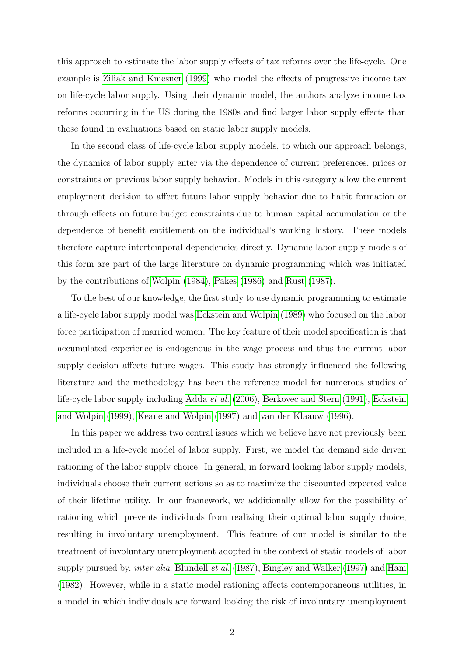this approach to estimate the labor supply effects of tax reforms over the life-cycle. One example is [Ziliak and Kniesner \(1999\)](#page-37-0) who model the effects of progressive income tax on life-cycle labor supply. Using their dynamic model, the authors analyze income tax reforms occurring in the US during the 1980s and find larger labor supply effects than those found in evaluations based on static labor supply models.

In the second class of life-cycle labor supply models, to which our approach belongs, the dynamics of labor supply enter via the dependence of current preferences, prices or constraints on previous labor supply behavior. Models in this category allow the current employment decision to affect future labor supply behavior due to habit formation or through effects on future budget constraints due to human capital accumulation or the dependence of benefit entitlement on the individual's working history. These models therefore capture intertemporal dependencies directly. Dynamic labor supply models of this form are part of the large literature on dynamic programming which was initiated by the contributions of [Wolpin \(1984\)](#page-37-1), [Pakes \(1986\)](#page-36-2) and [Rust \(1987\)](#page-36-3).

To the best of our knowledge, the first study to use dynamic programming to estimate a life-cycle labor supply model was [Eckstein and Wolpin \(1989\)](#page-35-5) who focused on the labor force participation of married women. The key feature of their model specification is that accumulated experience is endogenous in the wage process and thus the current labor supply decision affects future wages. This study has strongly influenced the following literature and the methodology has been the reference model for numerous studies of life-cycle labor supply including [Adda](#page-34-3) *et al.* [\(2006\)](#page-34-3), [Berkovec and Stern \(1991\)](#page-34-4), [Eckstein](#page-35-6) [and Wolpin \(1999\)](#page-35-6), [Keane and Wolpin \(1997\)](#page-36-4) and [van der Klaauw \(1996\)](#page-37-2).

In this paper we address two central issues which we believe have not previously been included in a life-cycle model of labor supply. First, we model the demand side driven rationing of the labor supply choice. In general, in forward looking labor supply models, individuals choose their current actions so as to maximize the discounted expected value of their lifetime utility. In our framework, we additionally allow for the possibility of rationing which prevents individuals from realizing their optimal labor supply choice, resulting in involuntary unemployment. This feature of our model is similar to the treatment of involuntary unemployment adopted in the context of static models of labor supply pursued by, *inter alia*, [Blundell](#page-35-7) *et al.* [\(1987\)](#page-35-7), [Bingley and Walker \(1997\)](#page-34-5) and [Ham](#page-35-8) [\(1982\)](#page-35-8). However, while in a static model rationing affects contemporaneous utilities, in a model in which individuals are forward looking the risk of involuntary unemployment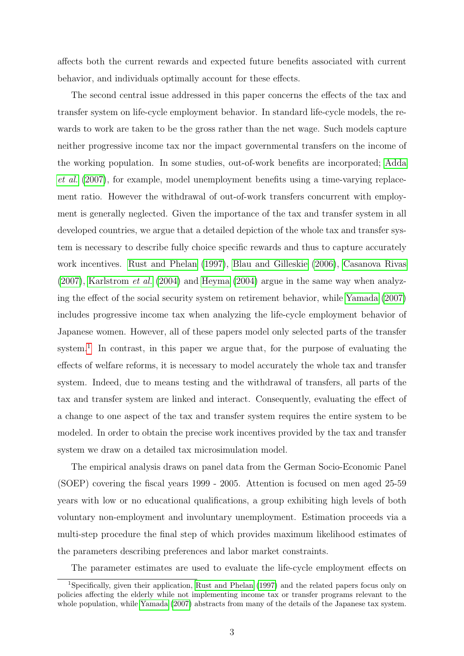affects both the current rewards and expected future benefits associated with current behavior, and individuals optimally account for these effects.

The second central issue addressed in this paper concerns the effects of the tax and transfer system on life-cycle employment behavior. In standard life-cycle models, the rewards to work are taken to be the gross rather than the net wage. Such models capture neither progressive income tax nor the impact governmental transfers on the income of the working population. In some studies, out-of-work benefits are incorporated; [Adda](#page-34-6) [et al.](#page-34-6) [\(2007\)](#page-34-6), for example, model unemployment benefits using a time-varying replacement ratio. However the withdrawal of out-of-work transfers concurrent with employment is generally neglected. Given the importance of the tax and transfer system in all developed countries, we argue that a detailed depiction of the whole tax and transfer system is necessary to describe fully choice specific rewards and thus to capture accurately work incentives. [Rust and Phelan \(1997\)](#page-36-5), [Blau and Gilleskie \(2006\)](#page-34-7), [Casanova Rivas](#page-35-9) [\(2007\)](#page-35-9), [Karlstrom](#page-36-6) et al. [\(2004\)](#page-36-6) and [Heyma \(2004\)](#page-36-7) argue in the same way when analyzing the effect of the social security system on retirement behavior, while [Yamada \(2007\)](#page-37-3) includes progressive income tax when analyzing the life-cycle employment behavior of Japanese women. However, all of these papers model only selected parts of the transfer system.<sup>[1](#page-0-0)</sup> In contrast, in this paper we argue that, for the purpose of evaluating the effects of welfare reforms, it is necessary to model accurately the whole tax and transfer system. Indeed, due to means testing and the withdrawal of transfers, all parts of the tax and transfer system are linked and interact. Consequently, evaluating the effect of a change to one aspect of the tax and transfer system requires the entire system to be modeled. In order to obtain the precise work incentives provided by the tax and transfer system we draw on a detailed tax microsimulation model.

The empirical analysis draws on panel data from the German Socio-Economic Panel (SOEP) covering the fiscal years 1999 - 2005. Attention is focused on men aged 25-59 years with low or no educational qualifications, a group exhibiting high levels of both voluntary non-employment and involuntary unemployment. Estimation proceeds via a multi-step procedure the final step of which provides maximum likelihood estimates of the parameters describing preferences and labor market constraints.

The parameter estimates are used to evaluate the life-cycle employment effects on

<sup>1</sup>Specifically, given their application, [Rust and Phelan](#page-36-5) [\(1997\)](#page-36-5) and the related papers focus only on policies affecting the elderly while not implementing income tax or transfer programs relevant to the whole population, while [Yamada](#page-37-3) [\(2007\)](#page-37-3) abstracts from many of the details of the Japanese tax system.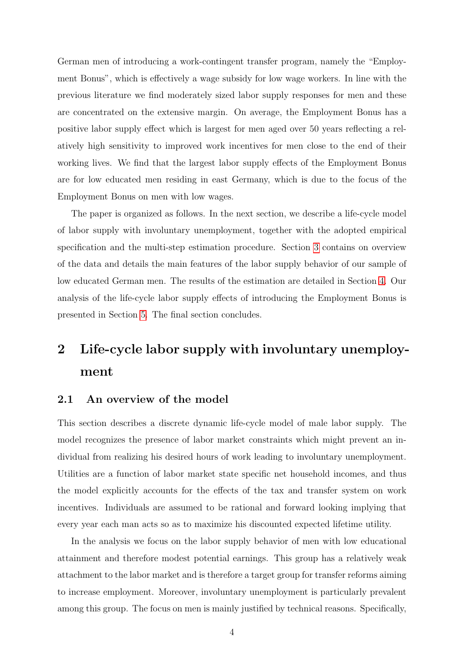German men of introducing a work-contingent transfer program, namely the "Employment Bonus", which is effectively a wage subsidy for low wage workers. In line with the previous literature we find moderately sized labor supply responses for men and these are concentrated on the extensive margin. On average, the Employment Bonus has a positive labor supply effect which is largest for men aged over 50 years reflecting a relatively high sensitivity to improved work incentives for men close to the end of their working lives. We find that the largest labor supply effects of the Employment Bonus are for low educated men residing in east Germany, which is due to the focus of the Employment Bonus on men with low wages.

The paper is organized as follows. In the next section, we describe a life-cycle model of labor supply with involuntary unemployment, together with the adopted empirical specification and the multi-step estimation procedure. Section [3](#page-21-0) contains on overview of the data and details the main features of the labor supply behavior of our sample of low educated German men. The results of the estimation are detailed in Section [4.](#page-24-0) Our analysis of the life-cycle labor supply effects of introducing the Employment Bonus is presented in Section [5.](#page-29-0) The final section concludes.

# 2 Life-cycle labor supply with involuntary unemployment

#### 2.1 An overview of the model

This section describes a discrete dynamic life-cycle model of male labor supply. The model recognizes the presence of labor market constraints which might prevent an individual from realizing his desired hours of work leading to involuntary unemployment. Utilities are a function of labor market state specific net household incomes, and thus the model explicitly accounts for the effects of the tax and transfer system on work incentives. Individuals are assumed to be rational and forward looking implying that every year each man acts so as to maximize his discounted expected lifetime utility.

In the analysis we focus on the labor supply behavior of men with low educational attainment and therefore modest potential earnings. This group has a relatively weak attachment to the labor market and is therefore a target group for transfer reforms aiming to increase employment. Moreover, involuntary unemployment is particularly prevalent among this group. The focus on men is mainly justified by technical reasons. Specifically,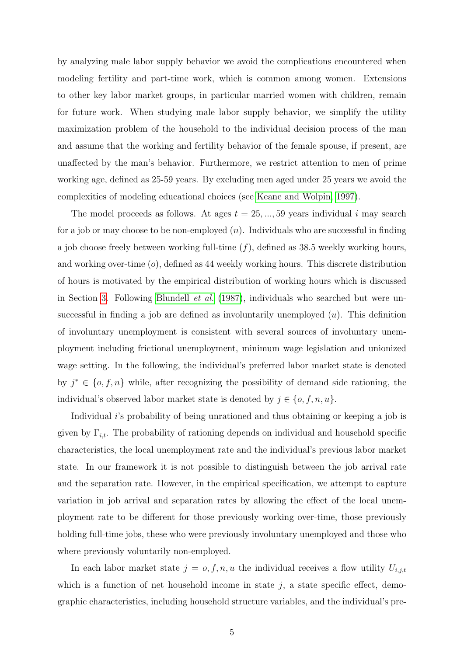by analyzing male labor supply behavior we avoid the complications encountered when modeling fertility and part-time work, which is common among women. Extensions to other key labor market groups, in particular married women with children, remain for future work. When studying male labor supply behavior, we simplify the utility maximization problem of the household to the individual decision process of the man and assume that the working and fertility behavior of the female spouse, if present, are unaffected by the man's behavior. Furthermore, we restrict attention to men of prime working age, defined as 25-59 years. By excluding men aged under 25 years we avoid the complexities of modeling educational choices (see [Keane and Wolpin, 1997\)](#page-36-4).

The model proceeds as follows. At ages  $t = 25, ..., 59$  years individual i may search for a job or may choose to be non-employed  $(n)$ . Individuals who are successful in finding a job choose freely between working full-time  $(f)$ , defined as 38.5 weekly working hours, and working over-time (o), defined as 44 weekly working hours. This discrete distribution of hours is motivated by the empirical distribution of working hours which is discussed in Section [3.](#page-21-0) Following [Blundell](#page-35-7) et al. [\(1987\)](#page-35-7), individuals who searched but were unsuccessful in finding a job are defined as involuntarily unemployed  $(u)$ . This definition of involuntary unemployment is consistent with several sources of involuntary unemployment including frictional unemployment, minimum wage legislation and unionized wage setting. In the following, the individual's preferred labor market state is denoted by  $j^* \in \{o, f, n\}$  while, after recognizing the possibility of demand side rationing, the individual's observed labor market state is denoted by  $j \in \{o, f, n, u\}$ .

Individual i's probability of being unrationed and thus obtaining or keeping a job is given by  $\Gamma_{i,t}$ . The probability of rationing depends on individual and household specific characteristics, the local unemployment rate and the individual's previous labor market state. In our framework it is not possible to distinguish between the job arrival rate and the separation rate. However, in the empirical specification, we attempt to capture variation in job arrival and separation rates by allowing the effect of the local unemployment rate to be different for those previously working over-time, those previously holding full-time jobs, these who were previously involuntary unemployed and those who where previously voluntarily non-employed.

In each labor market state  $j = o, f, n, u$  the individual receives a flow utility  $U_{i,j,t}$ which is a function of net household income in state  $j$ , a state specific effect, demographic characteristics, including household structure variables, and the individual's pre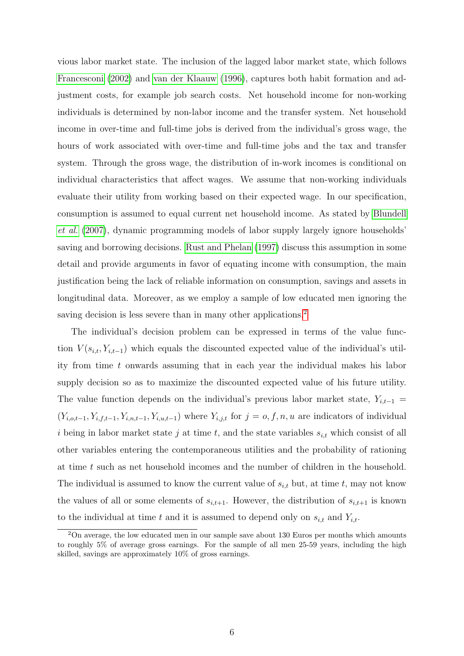vious labor market state. The inclusion of the lagged labor market state, which follows [Francesconi \(2002\)](#page-35-10) and [van der Klaauw \(1996\)](#page-37-2), captures both habit formation and adjustment costs, for example job search costs. Net household income for non-working individuals is determined by non-labor income and the transfer system. Net household income in over-time and full-time jobs is derived from the individual's gross wage, the hours of work associated with over-time and full-time jobs and the tax and transfer system. Through the gross wage, the distribution of in-work incomes is conditional on individual characteristics that affect wages. We assume that non-working individuals evaluate their utility from working based on their expected wage. In our specification, consumption is assumed to equal current net household income. As stated by [Blundell](#page-35-3) [et al.](#page-35-3) [\(2007\)](#page-35-3), dynamic programming models of labor supply largely ignore households' saving and borrowing decisions. [Rust and Phelan \(1997\)](#page-36-5) discuss this assumption in some detail and provide arguments in favor of equating income with consumption, the main justification being the lack of reliable information on consumption, savings and assets in longitudinal data. Moreover, as we employ a sample of low educated men ignoring the saving decision is less severe than in many other applications.<sup>[2](#page-0-0)</sup>

The individual's decision problem can be expressed in terms of the value function  $V(s_{i,t}, Y_{i,t-1})$  which equals the discounted expected value of the individual's utility from time t onwards assuming that in each year the individual makes his labor supply decision so as to maximize the discounted expected value of his future utility. The value function depends on the individual's previous labor market state,  $Y_{i,t-1}$  =  $(Y_{i,o,t-1}, Y_{i,f,t-1}, Y_{i,n,t-1}, Y_{i,u,t-1})$  where  $Y_{i,j,t}$  for  $j = o, f, n, u$  are indicators of individual i being in labor market state j at time t, and the state variables  $s_{i,t}$  which consist of all other variables entering the contemporaneous utilities and the probability of rationing at time t such as net household incomes and the number of children in the household. The individual is assumed to know the current value of  $s_{i,t}$  but, at time t, may not know the values of all or some elements of  $s_{i,t+1}$ . However, the distribution of  $s_{i,t+1}$  is known to the individual at time t and it is assumed to depend only on  $s_{i,t}$  and  $Y_{i,t}$ .

 $2$ On average, the low educated men in our sample save about 130 Euros per months which amounts to roughly 5% of average gross earnings. For the sample of all men 25-59 years, including the high skilled, savings are approximately 10% of gross earnings.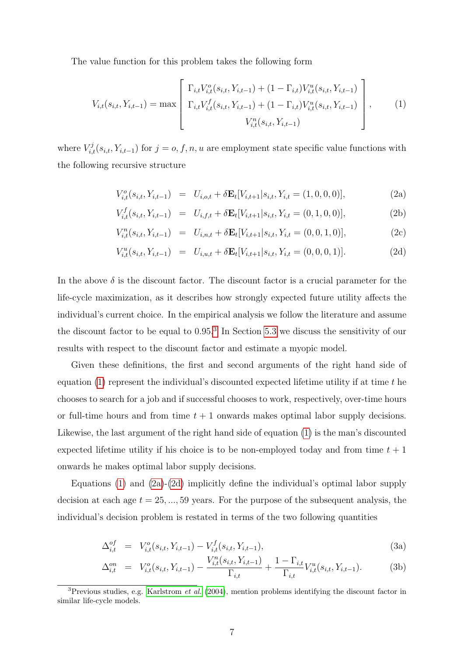The value function for this problem takes the following form

<span id="page-7-0"></span>
$$
V_{i,t}(s_{i,t}, Y_{i,t-1}) = \max \left[ \begin{array}{c} \Gamma_{i,t} V_{i,t}^o(s_{i,t}, Y_{i,t-1}) + (1 - \Gamma_{i,t}) V_{i,t}^u(s_{i,t}, Y_{i,t-1}) \\ \Gamma_{i,t} V_{i,t}^f(s_{i,t}, Y_{i,t-1}) + (1 - \Gamma_{i,t}) V_{i,t}^u(s_{i,t}, Y_{i,t-1}) \\ V_{i,t}^n(s_{i,t}, Y_{i,t-1}) \end{array} \right],
$$
 (1)

where  $V_{i,t}^{j}(s_{i,t}, Y_{i,t-1})$  for  $j = o, f, n, u$  are employment state specific value functions with the following recursive structure

$$
V_{i,t}^o(s_{i,t}, Y_{i,t-1}) = U_{i,o,t} + \delta \mathbf{E}_t[V_{i,t+1}|s_{i,t}, Y_{i,t} = (1,0,0,0)],
$$
\n(2a)

$$
V_{i,t}^f(s_{i,t}, Y_{i,t-1}) = U_{i,f,t} + \delta \mathbf{E}_t[V_{i,t+1}|s_{i,t}, Y_{i,t} = (0, 1, 0, 0)],
$$
\n(2b)

$$
V_{i,t}^n(s_{i,t}, Y_{i,t-1}) = U_{i,n,t} + \delta \mathbf{E}_t[V_{i,t+1}|s_{i,t}, Y_{i,t} = (0,0,1,0)],
$$
\n(2c)

$$
V_{i,t}^u(s_{i,t}, Y_{i,t-1}) = U_{i,u,t} + \delta \mathbf{E}_t[V_{i,t+1}|s_{i,t}, Y_{i,t} = (0,0,0,1)].
$$
\n(2d)

In the above  $\delta$  is the discount factor. The discount factor is a crucial parameter for the life-cycle maximization, as it describes how strongly expected future utility affects the individual's current choice. In the empirical analysis we follow the literature and assume the discount factor to be equal to  $0.95<sup>3</sup>$  $0.95<sup>3</sup>$  $0.95<sup>3</sup>$  In Section [5.3](#page-32-0) we discuss the sensitivity of our results with respect to the discount factor and estimate a myopic model.

Given these definitions, the first and second arguments of the right hand side of equation  $(1)$  represent the individual's discounted expected lifetime utility if at time t he chooses to search for a job and if successful chooses to work, respectively, over-time hours or full-time hours and from time  $t + 1$  onwards makes optimal labor supply decisions. Likewise, the last argument of the right hand side of equation [\(1\)](#page-7-0) is the man's discounted expected lifetime utility if his choice is to be non-employed today and from time  $t + 1$ onwards he makes optimal labor supply decisions.

Equations [\(1\)](#page-7-0) and  $(2a)-(2d)$  $(2a)-(2d)$  implicitly define the individual's optimal labor supply decision at each age  $t = 25, ..., 59$  years. For the purpose of the subsequent analysis, the individual's decision problem is restated in terms of the two following quantities

$$
\Delta_{i,t}^{of} = V_{i,t}^{o}(s_{i,t}, Y_{i,t-1}) - V_{i,t}^{f}(s_{i,t}, Y_{i,t-1}),
$$
\n(3a)

$$
\Delta_{i,t}^{on} = V_{i,t}^{o}(s_{i,t}, Y_{i,t-1}) - \frac{V_{i,t}^{n}(s_{i,t}, Y_{i,t-1})}{\Gamma_{i,t}} + \frac{1 - \Gamma_{i,t}}{\Gamma_{i,t}} V_{i,t}^{u}(s_{i,t}, Y_{i,t-1}).
$$
\n(3b)

 $3$ Previous studies, e.g. [Karlstrom](#page-36-6) et al. [\(2004\)](#page-36-6), mention problems identifying the discount factor in similar life-cycle models.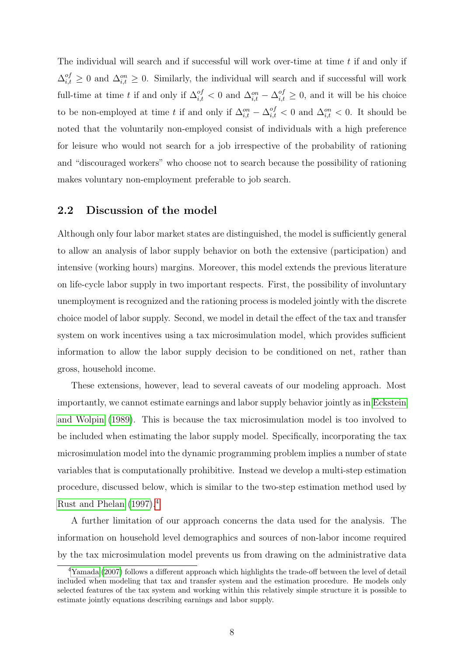The individual will search and if successful will work over-time at time  $t$  if and only if  $\Delta_{i,t}^{of} \geq 0$  and  $\Delta_{i,t}^{on} \geq 0$ . Similarly, the individual will search and if successful will work full-time at time t if and only if  $\Delta_{i,t}^{of} < 0$  and  $\Delta_{i,t}^{on} - \Delta_{i,t}^{of} \geq 0$ , and it will be his choice to be non-employed at time t if and only if  $\Delta_{i,t}^{on} - \Delta_{i,t}^{of} < 0$  and  $\Delta_{i,t}^{on} < 0$ . It should be noted that the voluntarily non-employed consist of individuals with a high preference for leisure who would not search for a job irrespective of the probability of rationing and "discouraged workers" who choose not to search because the possibility of rationing makes voluntary non-employment preferable to job search.

#### 2.2 Discussion of the model

Although only four labor market states are distinguished, the model is sufficiently general to allow an analysis of labor supply behavior on both the extensive (participation) and intensive (working hours) margins. Moreover, this model extends the previous literature on life-cycle labor supply in two important respects. First, the possibility of involuntary unemployment is recognized and the rationing process is modeled jointly with the discrete choice model of labor supply. Second, we model in detail the effect of the tax and transfer system on work incentives using a tax microsimulation model, which provides sufficient information to allow the labor supply decision to be conditioned on net, rather than gross, household income.

These extensions, however, lead to several caveats of our modeling approach. Most importantly, we cannot estimate earnings and labor supply behavior jointly as in [Eckstein](#page-35-5) [and Wolpin \(1989\)](#page-35-5). This is because the tax microsimulation model is too involved to be included when estimating the labor supply model. Specifically, incorporating the tax microsimulation model into the dynamic programming problem implies a number of state variables that is computationally prohibitive. Instead we develop a multi-step estimation procedure, discussed below, which is similar to the two-step estimation method used by [Rust and Phelan \(1997\)](#page-36-5).[4](#page-0-0)

A further limitation of our approach concerns the data used for the analysis. The information on household level demographics and sources of non-labor income required by the tax microsimulation model prevents us from drawing on the administrative data

<sup>4</sup>[Yamada](#page-37-3) [\(2007\)](#page-37-3) follows a different approach which highlights the trade-off between the level of detail included when modeling that tax and transfer system and the estimation procedure. He models only selected features of the tax system and working within this relatively simple structure it is possible to estimate jointly equations describing earnings and labor supply.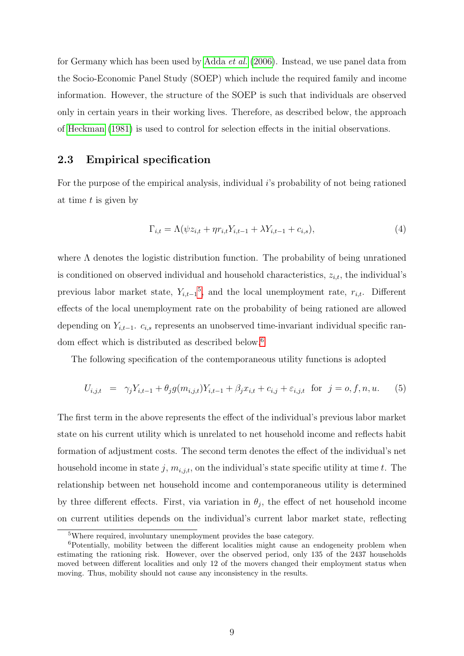for Germany which has been used by [Adda](#page-34-3) et al. [\(2006\)](#page-34-3). Instead, we use panel data from the Socio-Economic Panel Study (SOEP) which include the required family and income information. However, the structure of the SOEP is such that individuals are observed only in certain years in their working lives. Therefore, as described below, the approach of [Heckman \(1981\)](#page-35-11) is used to control for selection effects in the initial observations.

#### 2.3 Empirical specification

For the purpose of the empirical analysis, individual i's probability of not being rationed at time  $t$  is given by

<span id="page-9-1"></span>
$$
\Gamma_{i,t} = \Lambda(\psi z_{i,t} + \eta r_{i,t} Y_{i,t-1} + \lambda Y_{i,t-1} + c_{i,s}),
$$
\n(4)

where  $\Lambda$  denotes the logistic distribution function. The probability of being unrationed is conditioned on observed individual and household characteristics,  $z_{i,t}$ , the individual's previous labor market state,  $Y_{i,t-1}$ <sup>[5](#page-0-0)</sup>, and the local unemployment rate,  $r_{i,t}$ . Different effects of the local unemployment rate on the probability of being rationed are allowed depending on  $Y_{i,t-1}$ .  $c_{i,s}$  represents an unobserved time-invariant individual specific random effect which is distributed as described below.[6](#page-0-0)

The following specification of the contemporaneous utility functions is adopted

<span id="page-9-0"></span>
$$
U_{i,j,t} = \gamma_j Y_{i,t-1} + \theta_j g(m_{i,j,t}) Y_{i,t-1} + \beta_j x_{i,t} + c_{i,j} + \varepsilon_{i,j,t} \text{ for } j = o, f, n, u. \tag{5}
$$

The first term in the above represents the effect of the individual's previous labor market state on his current utility which is unrelated to net household income and reflects habit formation of adjustment costs. The second term denotes the effect of the individual's net household income in state j,  $m_{i,j,t}$ , on the individual's state specific utility at time t. The relationship between net household income and contemporaneous utility is determined by three different effects. First, via variation in  $\theta_j$ , the effect of net household income on current utilities depends on the individual's current labor market state, reflecting

<sup>5</sup>Where required, involuntary unemployment provides the base category.

<sup>&</sup>lt;sup>6</sup>Potentially, mobility between the different localities might cause an endogeneity problem when estimating the rationing risk. However, over the observed period, only 135 of the 2437 households moved between different localities and only 12 of the movers changed their employment status when moving. Thus, mobility should not cause any inconsistency in the results.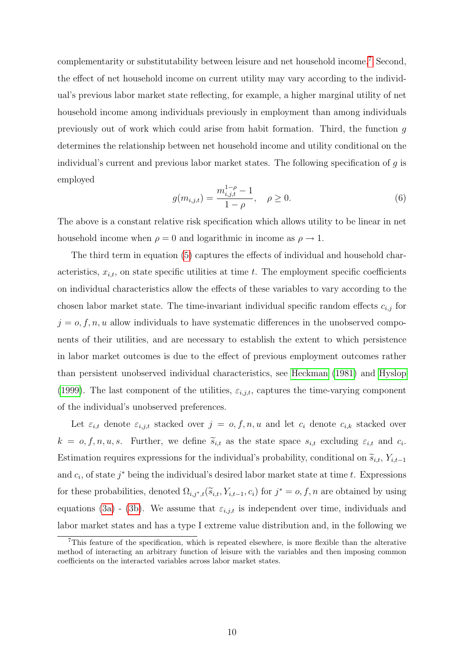complementarity or substitutability between leisure and net household income.[7](#page-0-0) Second, the effect of net household income on current utility may vary according to the individual's previous labor market state reflecting, for example, a higher marginal utility of net household income among individuals previously in employment than among individuals previously out of work which could arise from habit formation. Third, the function g determines the relationship between net household income and utility conditional on the individual's current and previous labor market states. The following specification of  $g$  is employed

$$
g(m_{i,j,t}) = \frac{m_{i,j,t}^{1-\rho} - 1}{1 - \rho}, \quad \rho \ge 0.
$$
 (6)

<span id="page-10-0"></span>The above is a constant relative risk specification which allows utility to be linear in net household income when  $\rho = 0$  and logarithmic in income as  $\rho \to 1$ .

The third term in equation [\(5\)](#page-9-0) captures the effects of individual and household characteristics,  $x_{i,t}$ , on state specific utilities at time t. The employment specific coefficients on individual characteristics allow the effects of these variables to vary according to the chosen labor market state. The time-invariant individual specific random effects  $c_{i,j}$  for  $j = o, f, n, u$  allow individuals to have systematic differences in the unobserved components of their utilities, and are necessary to establish the extent to which persistence in labor market outcomes is due to the effect of previous employment outcomes rather than persistent unobserved individual characteristics, see [Heckman \(1981\)](#page-35-11) and [Hyslop](#page-36-8) [\(1999\)](#page-36-8). The last component of the utilities,  $\varepsilon_{i,j,t}$ , captures the time-varying component of the individual's unobserved preferences.

Let  $\varepsilon_{i,t}$  denote  $\varepsilon_{i,j,t}$  stacked over  $j = o, f, n, u$  and let  $c_i$  denote  $c_{i,k}$  stacked over  $k = o, f, n, u, s$ . Further, we define  $\tilde{s}_{i,t}$  as the state space  $s_{i,t}$  excluding  $\varepsilon_{i,t}$  and  $c_i$ . Estimation requires expressions for the individual's probability, conditional on  $\tilde{s}_{i,t}$ ,  $Y_{i,t-1}$ and  $c_i$ , of state  $j^*$  being the individual's desired labor market state at time t. Expressions for these probabilities, denoted  $\Omega_{i,j^*,t}(\tilde{s}_{i,t}, Y_{i,t-1}, c_i)$  for  $j^* = o, f, n$  are obtained by using equations [\(3a\)](#page-7-0) - [\(3b\)](#page-7-0). We assume that  $\varepsilon_{i,j,t}$  is independent over time, individuals and labor market states and has a type I extreme value distribution and, in the following we

<sup>7</sup>This feature of the specification, which is repeated elsewhere, is more flexible than the alterative method of interacting an arbitrary function of leisure with the variables and then imposing common coefficients on the interacted variables across labor market states.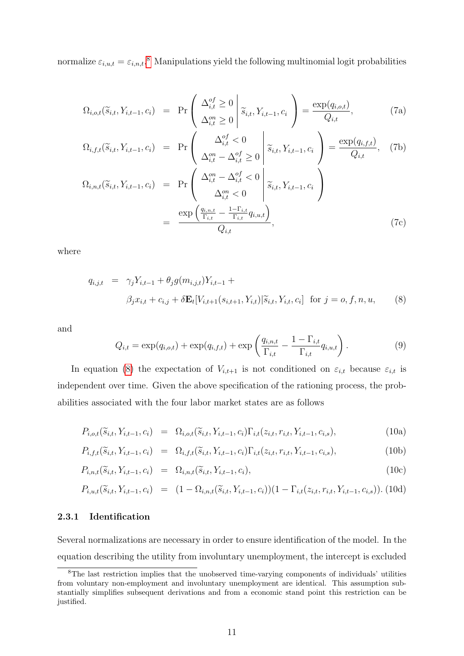normalize  $\varepsilon_{i,u,t} = \varepsilon_{i,n,t}$ .<sup>[8](#page-0-0)</sup> Manipulations yield the following multinomial logit probabilities

$$
\Omega_{i,o,t}(\widetilde{s}_{i,t}, Y_{i,t-1}, c_i) = \Pr\left(\begin{array}{c} \Delta_{i,t}^{of} \ge 0\\ \Delta_{i,t}^{on} \ge 0 \end{array} \middle| \widetilde{s}_{i,t}, Y_{i,t-1}, c_i\right) = \frac{\exp(q_{i,o,t})}{Q_{i,t}}, \tag{7a}
$$

$$
\Omega_{i,f,t}(\tilde{s}_{i,t}, Y_{i,t-1}, c_i) = \Pr\left(\begin{array}{c} \Delta_{i,t}^{of} < 0\\ \Delta_{i,t}^{on} - \Delta_{i,t}^{of} \ge 0 \end{array} \middle| \tilde{s}_{i,t}, Y_{i,t-1}, c_i\right) = \frac{\exp(q_{i,f,t})}{Q_{i,t}}, \quad (7b)
$$
\n
$$
\Omega_{i,n,t}(\tilde{s}_{i,t}, Y_{i,t-1}, c_i) = \Pr\left(\begin{array}{c} \Delta_{i,t}^{on} - \Delta_{i,t}^{of} < 0\\ \Delta_{i,t}^{on} < 0 \end{array} \middle| \tilde{s}_{i,t}, Y_{i,t-1}, c_i\right)
$$
\n
$$
= \frac{\exp\left(\frac{q_{i,n,t}}{\Gamma_{i,t}} - \frac{1-\Gamma_{i,t}}{\Gamma_{i,t}}q_{i,u,t}\right)}{Q_{i,t}}, \quad (7c)
$$

where

<span id="page-11-0"></span>
$$
q_{i,j,t} = \gamma_j Y_{i,t-1} + \theta_j g(m_{i,j,t}) Y_{i,t-1} +
$$
  

$$
\beta_j x_{i,t} + c_{i,j} + \delta \mathbf{E}_t[V_{i,t+1}(s_{i,t+1}, Y_{i,t}) | \tilde{s}_{i,t}, Y_{i,t}, c_i] \text{ for } j = o, f, n, u,
$$
 (8)

<span id="page-11-1"></span>and

$$
Q_{i,t} = \exp(q_{i,o,t}) + \exp(q_{i,f,t}) + \exp\left(\frac{q_{i,n,t}}{\Gamma_{i,t}} - \frac{1 - \Gamma_{i,t}}{\Gamma_{i,t}} q_{i,u,t}\right).
$$
 (9)

In equation [\(8\)](#page-11-0) the expectation of  $V_{i,t+1}$  is not conditioned on  $\varepsilon_{i,t}$  because  $\varepsilon_{i,t}$  is independent over time. Given the above specification of the rationing process, the probabilities associated with the four labor market states are as follows

$$
P_{i,o,t}(\tilde{s}_{i,t}, Y_{i,t-1}, c_i) = \Omega_{i,o,t}(\tilde{s}_{i,t}, Y_{i,t-1}, c_i) \Gamma_{i,t}(z_{i,t}, r_{i,t}, Y_{i,t-1}, c_{i,s}),
$$
(10a)

$$
P_{i,f,t}(\tilde{s}_{i,t}, Y_{i,t-1}, c_i) = \Omega_{i,f,t}(\tilde{s}_{i,t}, Y_{i,t-1}, c_i) \Gamma_{i,t}(z_{i,t}, r_{i,t}, Y_{i,t-1}, c_{i,s}),
$$
(10b)

$$
P_{i,n,t}(\tilde{s}_{i,t}, Y_{i,t-1}, c_i) = \Omega_{i,n,t}(\tilde{s}_{i,t}, Y_{i,t-1}, c_i),
$$
\n(10c)

$$
P_{i,u,t}(\tilde{s}_{i,t}, Y_{i,t-1}, c_i) = (1 - \Omega_{i,n,t}(\tilde{s}_{i,t}, Y_{i,t-1}, c_i)) (1 - \Gamma_{i,t}(z_{i,t}, r_{i,t}, Y_{i,t-1}, c_{i,s})).
$$
 (10d)

#### 2.3.1 Identification

Several normalizations are necessary in order to ensure identification of the model. In the equation describing the utility from involuntary unemployment, the intercept is excluded

<sup>&</sup>lt;sup>8</sup>The last restriction implies that the unobserved time-varying components of individuals' utilities from voluntary non-employment and involuntary unemployment are identical. This assumption substantially simplifies subsequent derivations and from a economic stand point this restriction can be justified.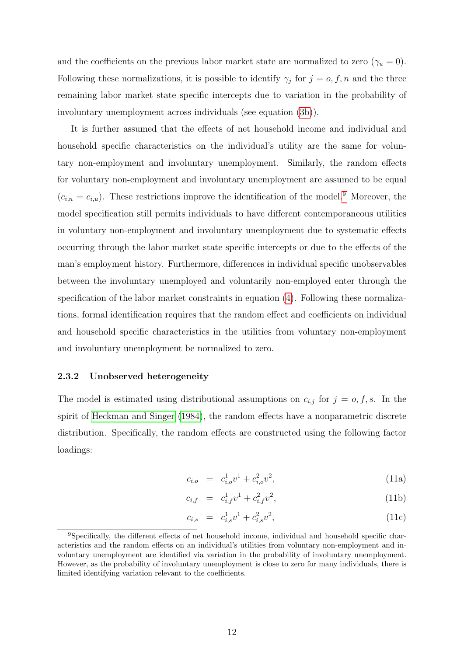and the coefficients on the previous labor market state are normalized to zero  $(\gamma_u = 0)$ . Following these normalizations, it is possible to identify  $\gamma_j$  for  $j = 0, f, n$  and the three remaining labor market state specific intercepts due to variation in the probability of involuntary unemployment across individuals (see equation [\(3b\)](#page-7-0)).

It is further assumed that the effects of net household income and individual and household specific characteristics on the individual's utility are the same for voluntary non-employment and involuntary unemployment. Similarly, the random effects for voluntary non-employment and involuntary unemployment are assumed to be equal  $(c_{i,n} = c_{i,u})$ . These restrictions improve the identification of the model.<sup>[9](#page-0-0)</sup> Moreover, the model specification still permits individuals to have different contemporaneous utilities in voluntary non-employment and involuntary unemployment due to systematic effects occurring through the labor market state specific intercepts or due to the effects of the man's employment history. Furthermore, differences in individual specific unobservables between the involuntary unemployed and voluntarily non-employed enter through the specification of the labor market constraints in equation [\(4\)](#page-9-1). Following these normalizations, formal identification requires that the random effect and coefficients on individual and household specific characteristics in the utilities from voluntary non-employment and involuntary unemployment be normalized to zero.

#### 2.3.2 Unobserved heterogeneity

The model is estimated using distributional assumptions on  $c_{i,j}$  for  $j = o, f, s$ . In the spirit of [Heckman and Singer \(1984\)](#page-36-9), the random effects have a nonparametric discrete distribution. Specifically, the random effects are constructed using the following factor loadings:

$$
c_{i,o} = c_{i,o}^1 v^1 + c_{i,o}^2 v^2,
$$
\n(11a)

$$
c_{i,f} = c_{i,f}^{1} v^1 + c_{i,f}^{2} v^2,
$$
\n(11b)

$$
c_{i,s} = c_{i,s}^1 v^1 + c_{i,s}^2 v^2, \tag{11c}
$$

<sup>9</sup>Specifically, the different effects of net household income, individual and household specific characteristics and the random effects on an individual's utilities from voluntary non-employment and involuntary unemployment are identified via variation in the probability of involuntary unemployment. However, as the probability of involuntary unemployment is close to zero for many individuals, there is limited identifying variation relevant to the coefficients.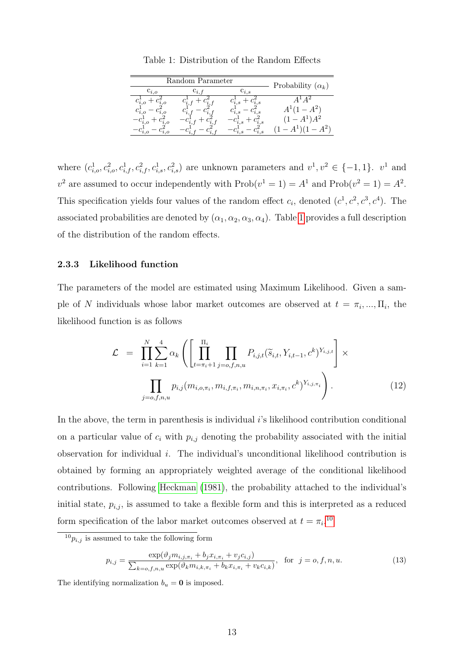Table 1: Distribution of the Random Effects

<span id="page-13-0"></span>

| Random Parameter   | Probability $(\alpha_k)$ |  |
|--------------------|--------------------------|--|
| $\mathrm{c}_{i.o}$ | $\mathrm{c}_{i.s}$       |  |
|                    |                          |  |
|                    |                          |  |
|                    |                          |  |
|                    |                          |  |

where  $(c_{i,o}^1, c_{i,o}^2, c_{i,f}^1, c_{i,s}^2, c_{i,s}^1)$  are unknown parameters and  $v^1, v^2 \in \{-1, 1\}$ .  $v^1$  and  $v^2$  are assumed to occur independently with  $\text{Prob}(v^1 = 1) = A^1$  and  $\text{Prob}(v^2 = 1) = A^2$ . This specification yields four values of the random effect  $c_i$ , denoted  $(c^1, c^2, c^3, c^4)$ . The associated probabilities are denoted by  $(\alpha_1, \alpha_2, \alpha_3, \alpha_4)$ . Table [1](#page-13-0) provides a full description of the distribution of the random effects.

#### 2.3.3 Likelihood function

The parameters of the model are estimated using Maximum Likelihood. Given a sample of N individuals whose labor market outcomes are observed at  $t = \pi_i, ..., \Pi_i$ , the likelihood function is as follows

$$
\mathcal{L} = \prod_{i=1}^{N} \sum_{k=1}^{4} \alpha_k \left( \left[ \prod_{t=\pi_i+1}^{\Pi_i} \prod_{j=o, f, n, u} P_{i,j,t}(\tilde{s}_{i,t}, Y_{i,t-1}, c^k)^{Y_{i,j,t}} \right] \times \prod_{j=o, f, n, u} p_{i,j}(m_{i,o,\pi_i}, m_{i,f,\pi_i}, m_{i,n,\pi_i}, x_{i,\pi_i}, c^k)^{Y_{i,j,\pi_i}} \right). \tag{12}
$$

In the above, the term in parenthesis is individual  $i$ 's likelihood contribution conditional on a particular value of  $c_i$  with  $p_{i,j}$  denoting the probability associated with the initial observation for individual  $i$ . The individual's unconditional likelihood contribution is obtained by forming an appropriately weighted average of the conditional likelihood contributions. Following [Heckman \(1981\)](#page-35-11), the probability attached to the individual's initial state,  $p_{i,j}$ , is assumed to take a flexible form and this is interpreted as a reduced form specification of the labor market outcomes observed at  $t = \pi_i$ .<sup>[10](#page-0-0)</sup>

$$
p_{i,j} = \frac{\exp(\vartheta_j m_{i,j,\pi_i} + b_j x_{i,\pi_i} + v_j c_{i,j})}{\sum_{k=o,f,n,u} \exp(\vartheta_k m_{i,k,\pi_i} + b_k x_{i,\pi_i} + v_k c_{i,k})}, \text{ for } j = o, f, n, u.
$$
 (13)

The identifying normalization  $b_u = 0$  is imposed.

 $10p_{i,j}$  is assumed to take the following form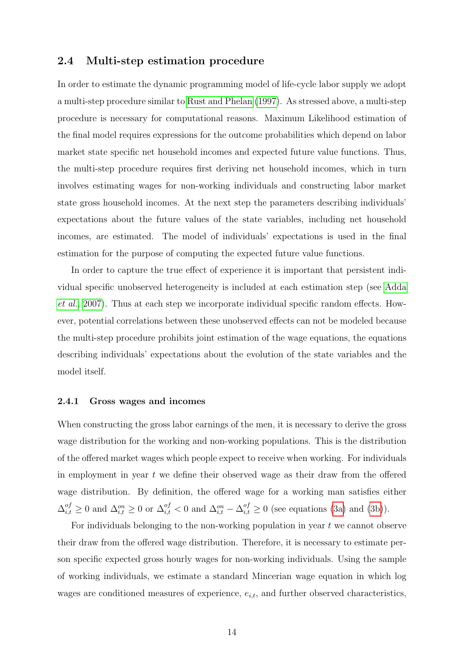#### 2.4 Multi-step estimation procedure

In order to estimate the dynamic programming model of life-cycle labor supply we adopt a multi-step procedure similar to [Rust and Phelan \(1997\)](#page-36-5). As stressed above, a multi-step procedure is necessary for computational reasons. Maximum Likelihood estimation of the final model requires expressions for the outcome probabilities which depend on labor market state specific net household incomes and expected future value functions. Thus, the multi-step procedure requires first deriving net household incomes, which in turn involves estimating wages for non-working individuals and constructing labor market state gross household incomes. At the next step the parameters describing individuals' expectations about the future values of the state variables, including net household incomes, are estimated. The model of individuals' expectations is used in the final estimation for the purpose of computing the expected future value functions.

In order to capture the true effect of experience it is important that persistent individual specific unobserved heterogeneity is included at each estimation step (see [Adda](#page-34-6) [et al.](#page-34-6), [2007\)](#page-34-6). Thus at each step we incorporate individual specific random effects. However, potential correlations between these unobserved effects can not be modeled because the multi-step procedure prohibits joint estimation of the wage equations, the equations describing individuals' expectations about the evolution of the state variables and the model itself.

#### 2.4.1 Gross wages and incomes

When constructing the gross labor earnings of the men, it is necessary to derive the gross wage distribution for the working and non-working populations. This is the distribution of the offered market wages which people expect to receive when working. For individuals in employment in year  $t$  we define their observed wage as their draw from the offered wage distribution. By definition, the offered wage for a working man satisfies either  $\Delta_{i,t}^{of} \geq 0$  and  $\Delta_{i,t}^{on} \geq 0$  or  $\Delta_{i,t}^{of} < 0$  and  $\Delta_{i,t}^{on} - \Delta_{i,t}^{of} \geq 0$  (see equations [\(3a\)](#page-7-0) and [\(3b\)](#page-7-0)).

For individuals belonging to the non-working population in year  $t$  we cannot observe their draw from the offered wage distribution. Therefore, it is necessary to estimate person specific expected gross hourly wages for non-working individuals. Using the sample of working individuals, we estimate a standard Mincerian wage equation in which log wages are conditioned measures of experience,  $e_{i,t}$ , and further observed characteristics,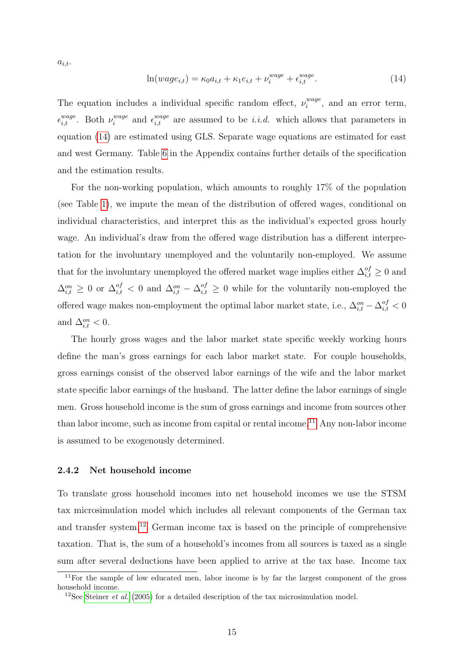<span id="page-15-0"></span> $a_{i,t}$ .

$$
\ln(wage_{i,t}) = \kappa_0 a_{i,t} + \kappa_1 e_{i,t} + \nu_i^{wage} + \epsilon_{i,t}^{wage}.
$$
\n
$$
(14)
$$

The equation includes a individual specific random effect,  $\nu_i^{wage}$  $i_i^{wage}$ , and an error term,  $\epsilon_{i,t}^{wage}$ . Both  $\nu_i^{wage}$ <sup>*wage*</sup> and  $\epsilon_{i,t}^{wage}$  are assumed to be *i.i.d.* which allows that parameters in equation [\(14\)](#page-15-0) are estimated using GLS. Separate wage equations are estimated for east and west Germany. Table [6](#page-43-0) in the Appendix contains further details of the specification and the estimation results.

For the non-working population, which amounts to roughly 17% of the population (see Table [1\)](#page-38-0), we impute the mean of the distribution of offered wages, conditional on individual characteristics, and interpret this as the individual's expected gross hourly wage. An individual's draw from the offered wage distribution has a different interpretation for the involuntary unemployed and the voluntarily non-employed. We assume that for the involuntary unemployed the offered market wage implies either  $\Delta_{i,t}^{of} \geq 0$  and  $\Delta_{i,t}^{on} \geq 0$  or  $\Delta_{i,t}^{of} < 0$  and  $\Delta_{i,t}^{on} - \Delta_{i,t}^{of} \geq 0$  while for the voluntarily non-employed the offered wage makes non-employment the optimal labor market state, i.e.,  $\Delta_{i,t}^{on} - \Delta_{i,t}^{of} < 0$ and  $\Delta_{i,t}^{on} < 0$ .

The hourly gross wages and the labor market state specific weekly working hours define the man's gross earnings for each labor market state. For couple households, gross earnings consist of the observed labor earnings of the wife and the labor market state specific labor earnings of the husband. The latter define the labor earnings of single men. Gross household income is the sum of gross earnings and income from sources other than labor income, such as income from capital or rental income.<sup>[11](#page-0-0)</sup> Any non-labor income is assumed to be exogenously determined.

#### 2.4.2 Net household income

To translate gross household incomes into net household incomes we use the STSM tax microsimulation model which includes all relevant components of the German tax and transfer system.[12](#page-0-0) German income tax is based on the principle of comprehensive taxation. That is, the sum of a household's incomes from all sources is taxed as a single sum after several deductions have been applied to arrive at the tax base. Income tax

 $11$ For the sample of low educated men, labor income is by far the largest component of the gross household income.

<sup>&</sup>lt;sup>12</sup>See [Steiner](#page-37-4) *et al.* [\(2005\)](#page-37-4) for a detailed description of the tax microsimulation model.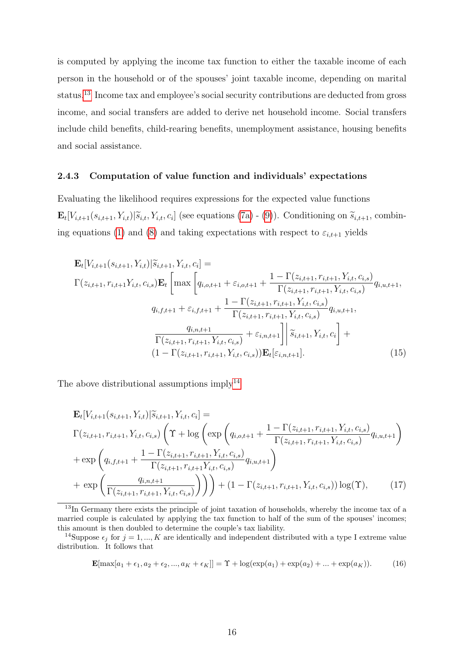is computed by applying the income tax function to either the taxable income of each person in the household or of the spouses' joint taxable income, depending on marital status.[13](#page-0-0) Income tax and employee's social security contributions are deducted from gross income, and social transfers are added to derive net household income. Social transfers include child benefits, child-rearing benefits, unemployment assistance, housing benefits and social assistance.

#### 2.4.3 Computation of value function and individuals' expectations

Evaluating the likelihood requires expressions for the expected value functions  $\mathbf{E}_t[V_{i,t+1}(s_{i,t+1}, Y_{i,t})|\tilde{s}_{i,t}, Y_{i,t}, c_i]$  (see equations [\(7a\)](#page-7-0) - [\(9\)](#page-11-1)). Conditioning on  $\tilde{s}_{i,t+1}$ , combin-ing equations [\(1\)](#page-7-0) and [\(8\)](#page-11-0) and taking expectations with respect to  $\varepsilon_{i,t+1}$  yields

$$
\mathbf{E}_{t}[V_{i,t+1}(s_{i,t+1}, Y_{i,t})|\tilde{s}_{i,t+1}, Y_{i,t}, c_{i}] =
$$
\n
$$
\Gamma(z_{i,t+1}, r_{i,t+1}Y_{i,t}, c_{i,s})\mathbf{E}_{t}\left[\max\left[q_{i,o,t+1} + \varepsilon_{i,o,t+1} + \frac{1 - \Gamma(z_{i,t+1}, r_{i,t+1}, Y_{i,t}, c_{i,s})}{\Gamma(z_{i,t+1}, r_{i,t+1}, Y_{i,t}, c_{i,s})}q_{i,u,t+1},\right.\right]
$$
\n
$$
q_{i,f,t+1} + \varepsilon_{i,f,t+1} + \frac{1 - \Gamma(z_{i,t+1}, r_{i,t+1}, Y_{i,t}, c_{i,s})}{\Gamma(z_{i,t+1}, r_{i,t+1}, Y_{i,t}, c_{i,s})}q_{i,u,t+1},
$$
\n
$$
\frac{q_{i,n,t+1}}{\Gamma(z_{i,t+1}, r_{i,t+1}, Y_{i,t}, c_{i,s})} + \varepsilon_{i,n,t+1}\right] \left|\tilde{s}_{i,t+1}, Y_{i,t}, c_{i}\right] + (1 - \Gamma(z_{i,t+1}, r_{i,t+1}, Y_{i,t}, c_{i,s}))\mathbf{E}_{t}[\varepsilon_{i,n,t+1}]. \tag{15}
$$

The above distributional assumptions imply<sup>[14](#page-0-0)</sup>

$$
\mathbf{E}_{t}[V_{i,t+1}(s_{i,t+1}, Y_{i,t})|\tilde{s}_{i,t+1}, Y_{i,t}, c_{i}] =
$$
\n
$$
\Gamma(z_{i,t+1}, r_{i,t+1}, Y_{i,t}, c_{i,s}) \left(\Upsilon + \log \left(\exp \left(q_{i,o,t+1} + \frac{1 - \Gamma(z_{i,t+1}, r_{i,t+1}, Y_{i,t}, c_{i,s})}{\Gamma(z_{i,t+1}, r_{i,t+1}, Y_{i,t}, c_{i,s})} q_{i,u,t+1}\right)\right) + \exp \left(q_{i,f,t+1} + \frac{1 - \Gamma(z_{i,t+1}, r_{i,t+1}, Y_{i,t}, c_{i,s})}{\Gamma(z_{i,t+1}, r_{i,t+1}, Y_{i,t}, c_{i,s})} q_{i,u,t+1}\right) + \exp \left(\frac{q_{i,n,t+1}}{\Gamma(z_{i,t+1}, r_{i,t+1}, Y_{i,t}, c_{i,s})}\right)\right) + (1 - \Gamma(z_{i,t+1}, r_{i,t+1}, Y_{i,t}, c_{i,s})) \log(\Upsilon), \tag{17}
$$

 $13\text{In Germany, there exists the principle of joint taxation of households, whereby the income tax of a$ married couple is calculated by applying the tax function to half of the sum of the spouses' incomes; this amount is then doubled to determine the couple's tax liability.

<sup>14</sup>Suppose  $\epsilon_j$  for  $j = 1, ..., K$  are identically and independent distributed with a type I extreme value distribution. It follows that

$$
\mathbf{E}[\max[a_1 + \epsilon_1, a_2 + \epsilon_2, ..., a_K + \epsilon_K]] = \Upsilon + \log(\exp(a_1) + \exp(a_2) + ... + \exp(a_K)).
$$
 (16)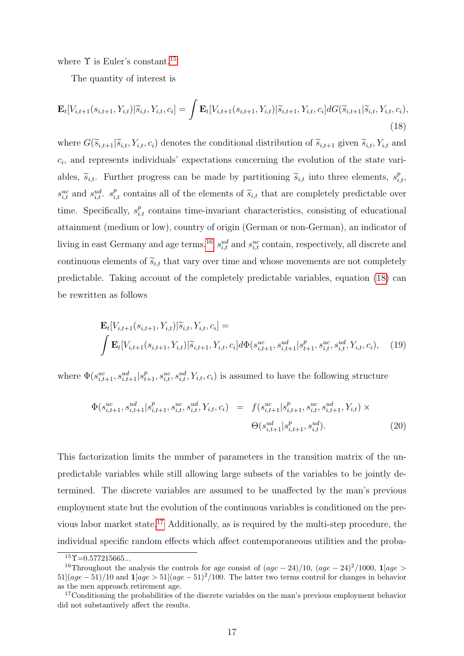where  $\Upsilon$  is Euler's constant.<sup>[15](#page-0-0)</sup>

<span id="page-17-0"></span>The quantity of interest is

$$
\mathbf{E}_{t}[V_{i,t+1}(s_{i,t+1}, Y_{i,t})|\widetilde{s}_{i,t}, Y_{i,t}, c_{i}] = \int \mathbf{E}_{t}[V_{i,t+1}(s_{i,t+1}, Y_{i,t})|\widetilde{s}_{i,t+1}, Y_{i,t}, c_{i}]dG(\widetilde{s}_{i,t+1}|\widetilde{s}_{i,t}, Y_{i,t}, c_{i}),
$$
\n(18)

where  $G(\widetilde{s}_{i,t+1}|\widetilde{s}_{i,t}, Y_{i,t}, c_i)$  denotes the conditional distribution of  $\widetilde{s}_{i,t+1}$  given  $\widetilde{s}_{i,t}, Y_{i,t}$  and  $c_i$ , and represents individuals' expectations concerning the evolution of the state variables,  $\tilde{s}_{i,t}$ . Further progress can be made by partitioning  $\tilde{s}_{i,t}$  into three elements,  $s_{i,t}^p$ ,  $s_{i,t}^{uc}$  and  $s_{i,t}^{ud}$ .  $s_{i,t}^{p}$  contains all of the elements of  $\widetilde{s}_{i,t}$  that are completely predictable over time. Specifically,  $s_{i,t}^p$  contains time-invariant characteristics, consisting of educational attainment (medium or low), country of origin (German or non-German), an indicator of living in east Germany and age terms.<sup>[16](#page-0-0)</sup>  $s_{i,t}^{ud}$  and  $s_{i,t}^{uc}$  contain, respectively, all discrete and continuous elements of  $\tilde{s}_{i,t}$  that vary over time and whose movements are not completely predictable. Taking account of the completely predictable variables, equation [\(18\)](#page-17-0) can be rewritten as follows

<span id="page-17-2"></span>
$$
\mathbf{E}_{t}[V_{i,t+1}(s_{i,t+1}, Y_{i,t})|\tilde{s}_{i,t}, Y_{i,t}, c_{i}] =
$$
\n
$$
\int \mathbf{E}_{t}[V_{i,t+1}(s_{i,t+1}, Y_{i,t})|\tilde{s}_{i,t+1}, Y_{i,t}, c_{i}]d\Phi(s_{i,t+1}^{uc}, s_{i,t+1}^{ud}|s_{t+1}^{p}, s_{i,t}^{uc}, s_{i,t}^{ud}, Y_{i,t}, c_{i}), \quad (19)
$$

where  $\Phi(s_{i,t+1}^{uc}, s_{i,t+1}^{ud}|s_{t+1}^p, s_{i,t}^{uc}, s_{i,t}^{ud}, Y_{i,t}, c_i)$  is assumed to have the following structure

<span id="page-17-1"></span>
$$
\Phi(s_{i,t+1}^{uc}, s_{i,t+1}^{ud}|s_{i,t+1}^p, s_{i,t}^{uc}, s_{i,t}^{ud}, Y_{i,t}, c_i) = f(s_{i,t+1}^{uc}|s_{i,t+1}^p, s_{i,t}^{uc}, s_{i,t+1}^{ud}, Y_{i,t}) \times \n\Theta(s_{i,t+1}^{ud}|s_{i,t+1}^p, s_{i,t}^{ud}).
$$
\n(20)

This factorization limits the number of parameters in the transition matrix of the unpredictable variables while still allowing large subsets of the variables to be jointly determined. The discrete variables are assumed to be unaffected by the man's previous employment state but the evolution of the continuous variables is conditioned on the previous labor market state.[17](#page-0-0) Additionally, as is required by the multi-step procedure, the individual specific random effects which affect contemporaneous utilities and the proba-

 $15\Upsilon = 0.577215665...$ 

<sup>&</sup>lt;sup>16</sup>Throughout the analysis the controls for age consist of  $(aqe - 24)/10$ ,  $(aqe - 24)^2/1000$ ,  $1|aqe >$  $51|(age-51)/10$  and  $1[age > 51](age-51)^2/100$ . The latter two terms control for changes in behavior as the men approach retirement age.

<sup>&</sup>lt;sup>17</sup>Conditioning the probabilities of the discrete variables on the man's previous employment behavior did not substantively affect the results.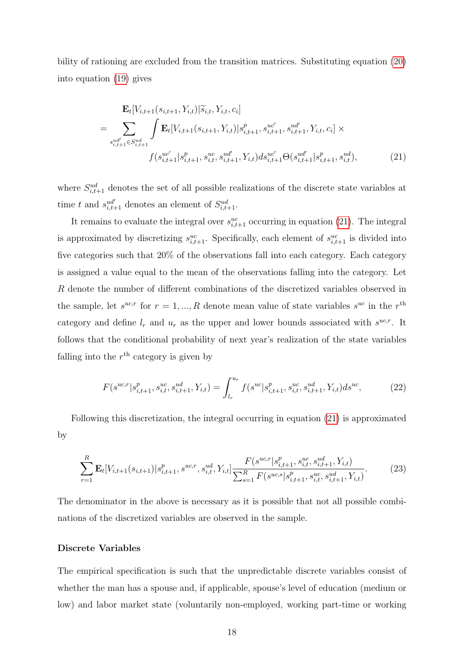bility of rationing are excluded from the transition matrices. Substituting equation [\(20\)](#page-17-1) into equation [\(19\)](#page-17-2) gives

<span id="page-18-0"></span>
$$
\mathbf{E}_{t}[V_{i,t+1}(s_{i,t+1}, Y_{i,t})|\tilde{s}_{i,t}, Y_{i,t}, c_{i}]
$$
\n
$$
= \sum_{s_{i,t+1}^{ud'} \in S_{i,t+1}^{ud}} \int \mathbf{E}_{t}[V_{i,t+1}(s_{i,t+1}, Y_{i,t})|s_{i,t+1}^{p}, s_{i,t+1}^{uc'}, s_{i,t+1}^{ud'}, Y_{i,t}, c_{i}] \times
$$
\n
$$
f(s_{i,t+1}^{uc'}|s_{i,t+1}^{p}, s_{i,t}^{uc}, s_{i,t+1}^{ud'}, Y_{i,t}) ds_{i,t+1}^{uc'} \Theta(s_{i,t+1}^{ud'}|s_{i,t+1}^{p}, s_{i,t}^{ud}), \qquad (21)
$$

where  $S_{i,t+1}^{ud}$  denotes the set of all possible realizations of the discrete state variables at time t and  $s_{i,t+1}^{ud'}$  denotes an element of  $S_{i,t+1}^{ud}$ .

It remains to evaluate the integral over  $s_{i,t+1}^{uc}$  occurring in equation [\(21\)](#page-18-0). The integral is approximated by discretizing  $s_{i,t+1}^{uc}$ . Specifically, each element of  $s_{i,t+1}^{uc}$  is divided into five categories such that 20% of the observations fall into each category. Each category is assigned a value equal to the mean of the observations falling into the category. Let R denote the number of different combinations of the discretized variables observed in the sample, let  $s^{uc,r}$  for  $r = 1, ..., R$  denote mean value of state variables  $s^{uc}$  in the  $r^{th}$ category and define  $l_r$  and  $u_r$  as the upper and lower bounds associated with  $s^{uc,r}$ . It follows that the conditional probability of next year's realization of the state variables falling into the  $r<sup>th</sup>$  category is given by

$$
F(s^{uc,r}|s_{i,t+1}^p, s_{i,t}^{uc}, s_{i,t+1}^{ud}, Y_{i,t}) = \int_{l_r}^{u_r} f(s^{uc}|s_{i,t+1}^p, s_{i,t}^{uc}, s_{i,t+1}^{ud}, Y_{i,t}) ds^{uc},
$$
 (22)

Following this discretization, the integral occurring in equation [\(21\)](#page-18-0) is approximated by

$$
\sum_{r=1}^{R} \mathbf{E}_{t}[V_{i,t+1}(s_{i,t+1})|s_{i,t+1}^{p}, s^{uc,r}, s_{i,t}^{ud}, Y_{i,t}] \frac{F(s^{uc,r}|s_{i,t+1}^{p}, s_{i,t}^{uc}, s_{i,t+1}^{ud}, Y_{i,t})}{\sum_{s=1}^{R} F(s^{uc,s}|s_{i,t+1}^{p}, s_{i,t}^{uc}, s_{i,t+1}^{ud}, Y_{i,t})}.
$$
(23)

The denominator in the above is necessary as it is possible that not all possible combinations of the discretized variables are observed in the sample.

#### Discrete Variables

The empirical specification is such that the unpredictable discrete variables consist of whether the man has a spouse and, if applicable, spouse's level of education (medium or low) and labor market state (voluntarily non-employed, working part-time or working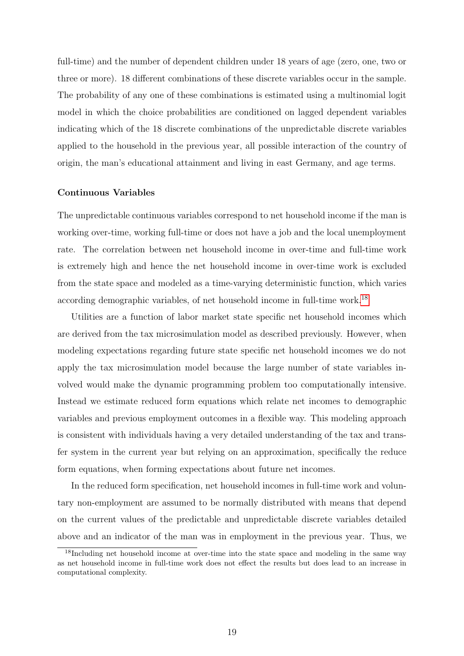full-time) and the number of dependent children under 18 years of age (zero, one, two or three or more). 18 different combinations of these discrete variables occur in the sample. The probability of any one of these combinations is estimated using a multinomial logit model in which the choice probabilities are conditioned on lagged dependent variables indicating which of the 18 discrete combinations of the unpredictable discrete variables applied to the household in the previous year, all possible interaction of the country of origin, the man's educational attainment and living in east Germany, and age terms.

#### Continuous Variables

The unpredictable continuous variables correspond to net household income if the man is working over-time, working full-time or does not have a job and the local unemployment rate. The correlation between net household income in over-time and full-time work is extremely high and hence the net household income in over-time work is excluded from the state space and modeled as a time-varying deterministic function, which varies according demographic variables, of net household income in full-time work.[18](#page-0-0)

Utilities are a function of labor market state specific net household incomes which are derived from the tax microsimulation model as described previously. However, when modeling expectations regarding future state specific net household incomes we do not apply the tax microsimulation model because the large number of state variables involved would make the dynamic programming problem too computationally intensive. Instead we estimate reduced form equations which relate net incomes to demographic variables and previous employment outcomes in a flexible way. This modeling approach is consistent with individuals having a very detailed understanding of the tax and transfer system in the current year but relying on an approximation, specifically the reduce form equations, when forming expectations about future net incomes.

In the reduced form specification, net household incomes in full-time work and voluntary non-employment are assumed to be normally distributed with means that depend on the current values of the predictable and unpredictable discrete variables detailed above and an indicator of the man was in employment in the previous year. Thus, we

<sup>&</sup>lt;sup>18</sup>Including net household income at over-time into the state space and modeling in the same way as net household income in full-time work does not effect the results but does lead to an increase in computational complexity.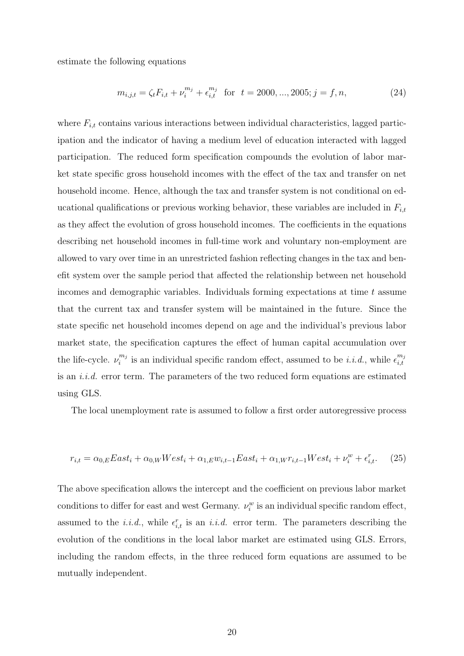estimate the following equations

$$
m_{i,j,t} = \zeta_t F_{i,t} + \nu_i^{m_j} + \epsilon_{i,t}^{m_j} \quad \text{for} \quad t = 2000, \dots, 2005; j = f, n,\tag{24}
$$

where  $F_{i,t}$  contains various interactions between individual characteristics, lagged participation and the indicator of having a medium level of education interacted with lagged participation. The reduced form specification compounds the evolution of labor market state specific gross household incomes with the effect of the tax and transfer on net household income. Hence, although the tax and transfer system is not conditional on educational qualifications or previous working behavior, these variables are included in  $F_{i,t}$ as they affect the evolution of gross household incomes. The coefficients in the equations describing net household incomes in full-time work and voluntary non-employment are allowed to vary over time in an unrestricted fashion reflecting changes in the tax and benefit system over the sample period that affected the relationship between net household incomes and demographic variables. Individuals forming expectations at time t assume that the current tax and transfer system will be maintained in the future. Since the state specific net household incomes depend on age and the individual's previous labor market state, the specification captures the effect of human capital accumulation over the life-cycle.  $\nu_i^{m_j}$  $i_i^{m_j}$  is an individual specific random effect, assumed to be *i.i.d.*, while  $\epsilon_{i,t}^{m_j}$ i,t is an *i.i.d.* error term. The parameters of the two reduced form equations are estimated using GLS.

The local unemployment rate is assumed to follow a first order autoregressive process

$$
r_{i,t} = \alpha_{0,E} East_i + \alpha_{0,W} West_i + \alpha_{1,E} w_{i,t-1} East_i + \alpha_{1,W} r_{i,t-1} West_i + \nu_i^w + \epsilon_{i,t}^r.
$$
 (25)

The above specification allows the intercept and the coefficient on previous labor market conditions to differ for east and west Germany.  $\nu_i^w$  is an individual specific random effect, assumed to the *i.i.d.*, while  $\epsilon_{i,t}^r$  is an *i.i.d.* error term. The parameters describing the evolution of the conditions in the local labor market are estimated using GLS. Errors, including the random effects, in the three reduced form equations are assumed to be mutually independent.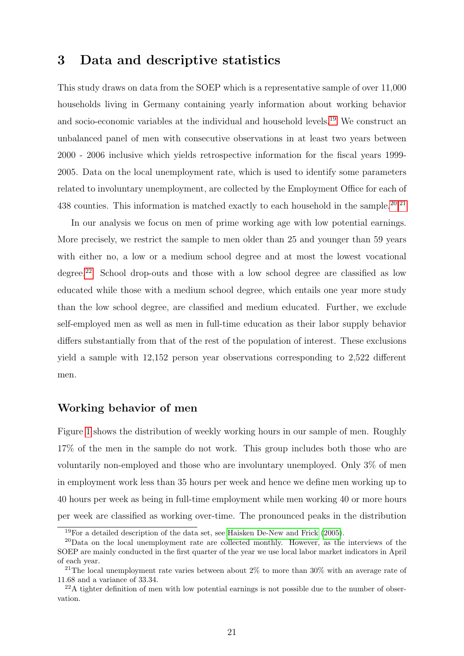### <span id="page-21-0"></span>3 Data and descriptive statistics

This study draws on data from the SOEP which is a representative sample of over 11,000 households living in Germany containing yearly information about working behavior and socio-economic variables at the individual and household levels.[19](#page-0-0) We construct an unbalanced panel of men with consecutive observations in at least two years between 2000 - 2006 inclusive which yields retrospective information for the fiscal years 1999- 2005. Data on the local unemployment rate, which is used to identify some parameters related to involuntary unemployment, are collected by the Employment Office for each of 438 counties. This information is matched exactly to each household in the sample.<sup>[20](#page-0-0),[21](#page-0-0)</sup>

In our analysis we focus on men of prime working age with low potential earnings. More precisely, we restrict the sample to men older than 25 and younger than 59 years with either no, a low or a medium school degree and at most the lowest vocational degree.[22](#page-0-0) School drop-outs and those with a low school degree are classified as low educated while those with a medium school degree, which entails one year more study than the low school degree, are classified and medium educated. Further, we exclude self-employed men as well as men in full-time education as their labor supply behavior differs substantially from that of the rest of the population of interest. These exclusions yield a sample with 12,152 person year observations corresponding to 2,522 different men.

#### Working behavior of men

Figure [1](#page-38-0) shows the distribution of weekly working hours in our sample of men. Roughly 17% of the men in the sample do not work. This group includes both those who are voluntarily non-employed and those who are involuntary unemployed. Only 3% of men in employment work less than 35 hours per week and hence we define men working up to 40 hours per week as being in full-time employment while men working 40 or more hours per week are classified as working over-time. The pronounced peaks in the distribution

 $19$ For a detailed description of the data set, see [Haisken De-New and Frick](#page-35-12) [\(2005\)](#page-35-12).

 $^{20}$ Data on the local unemployment rate are collected monthly. However, as the interviews of the SOEP are mainly conducted in the first quarter of the year we use local labor market indicators in April of each year.

<sup>&</sup>lt;sup>21</sup>The local unemployment rate varies between about  $2\%$  to more than  $30\%$  with an average rate of 11.68 and a variance of 33.34.

 $^{22}$ A tighter definition of men with low potential earnings is not possible due to the number of observation.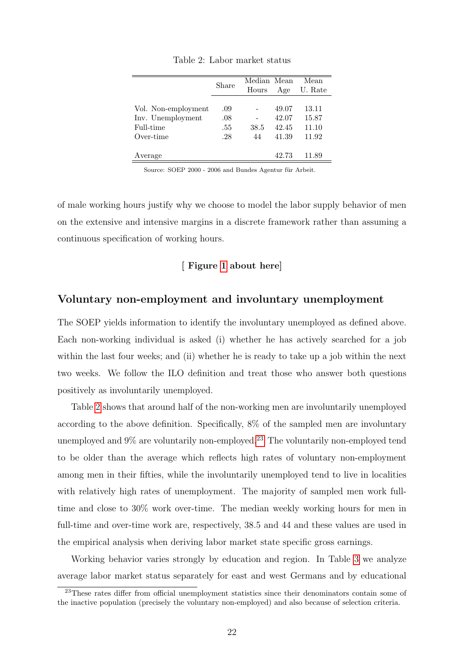<span id="page-22-0"></span>

|                                                                    | Share                    | Median Mean<br>Hours | Age                              | Mean<br>U. Rate                  |
|--------------------------------------------------------------------|--------------------------|----------------------|----------------------------------|----------------------------------|
| Vol. Non-employment<br>Inv. Unemployment<br>Full-time<br>Over-time | .09<br>.08<br>.55<br>.28 | 38.5<br>44           | 49.07<br>42.07<br>42.45<br>41.39 | 13.11<br>15.87<br>11.10<br>11.92 |
| Average                                                            |                          |                      | 42.73                            | 11.89                            |

Table 2: Labor market status

Source: SOEP 2000 - 2006 and Bundes Agentur für Arbeit.

of male working hours justify why we choose to model the labor supply behavior of men on the extensive and intensive margins in a discrete framework rather than assuming a continuous specification of working hours.

#### [ Figure [1](#page-38-0) about here]

#### Voluntary non-employment and involuntary unemployment

The SOEP yields information to identify the involuntary unemployed as defined above. Each non-working individual is asked (i) whether he has actively searched for a job within the last four weeks; and (ii) whether he is ready to take up a job within the next two weeks. We follow the ILO definition and treat those who answer both questions positively as involuntarily unemployed.

Table [2](#page-22-0) shows that around half of the non-working men are involuntarily unemployed according to the above definition. Specifically, 8% of the sampled men are involuntary unemployed and  $9\%$  are voluntarily non-employed.<sup>[23](#page-0-0)</sup> The voluntarily non-employed tend to be older than the average which reflects high rates of voluntary non-employment among men in their fifties, while the involuntarily unemployed tend to live in localities with relatively high rates of unemployment. The majority of sampled men work fulltime and close to 30% work over-time. The median weekly working hours for men in full-time and over-time work are, respectively, 38.5 and 44 and these values are used in the empirical analysis when deriving labor market state specific gross earnings.

Working behavior varies strongly by education and region. In Table [3](#page-23-0) we analyze average labor market status separately for east and west Germans and by educational

<sup>&</sup>lt;sup>23</sup>These rates differ from official unemployment statistics since their denominators contain some of the inactive population (precisely the voluntary non-employed) and also because of selection criteria.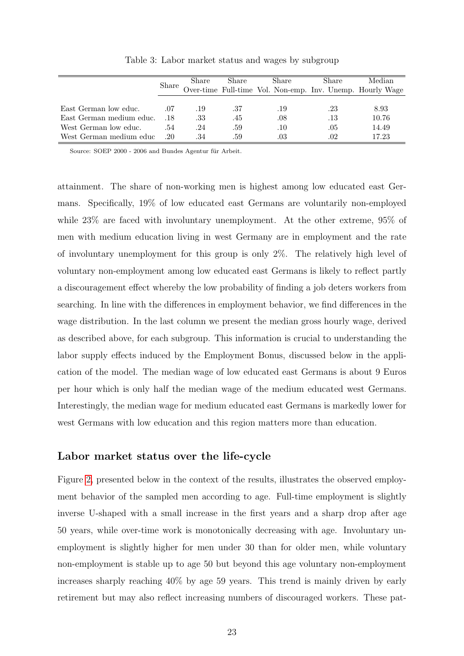<span id="page-23-0"></span>

|                          | Share | Share | Share | Share<br>Over-time Full-time Vol. Non-emp. Inv. Unemp. Hourly Wage | Share | Median |
|--------------------------|-------|-------|-------|--------------------------------------------------------------------|-------|--------|
| East German low educ.    | .07   | .19   | .37   | .19                                                                | .23   | 8.93   |
| East German medium educ. | .18   | .33   | .45   | .08                                                                | .13   | 10.76  |
| West German low educ.    | .54   | .24   | .59   | .10                                                                | .05   | 14.49  |
| West German medium educ  | .20   | .34   | .59   | .03                                                                | .02   | 17.23  |

Table 3: Labor market status and wages by subgroup

Source: SOEP 2000 - 2006 and Bundes Agentur für Arbeit.

attainment. The share of non-working men is highest among low educated east Germans. Specifically, 19% of low educated east Germans are voluntarily non-employed while 23% are faced with involuntary unemployment. At the other extreme, 95% of men with medium education living in west Germany are in employment and the rate of involuntary unemployment for this group is only 2%. The relatively high level of voluntary non-employment among low educated east Germans is likely to reflect partly a discouragement effect whereby the low probability of finding a job deters workers from searching. In line with the differences in employment behavior, we find differences in the wage distribution. In the last column we present the median gross hourly wage, derived as described above, for each subgroup. This information is crucial to understanding the labor supply effects induced by the Employment Bonus, discussed below in the application of the model. The median wage of low educated east Germans is about 9 Euros per hour which is only half the median wage of the medium educated west Germans. Interestingly, the median wage for medium educated east Germans is markedly lower for west Germans with low education and this region matters more than education.

#### Labor market status over the life-cycle

Figure [2,](#page-38-1) presented below in the context of the results, illustrates the observed employment behavior of the sampled men according to age. Full-time employment is slightly inverse U-shaped with a small increase in the first years and a sharp drop after age 50 years, while over-time work is monotonically decreasing with age. Involuntary unemployment is slightly higher for men under 30 than for older men, while voluntary non-employment is stable up to age 50 but beyond this age voluntary non-employment increases sharply reaching 40% by age 59 years. This trend is mainly driven by early retirement but may also reflect increasing numbers of discouraged workers. These pat-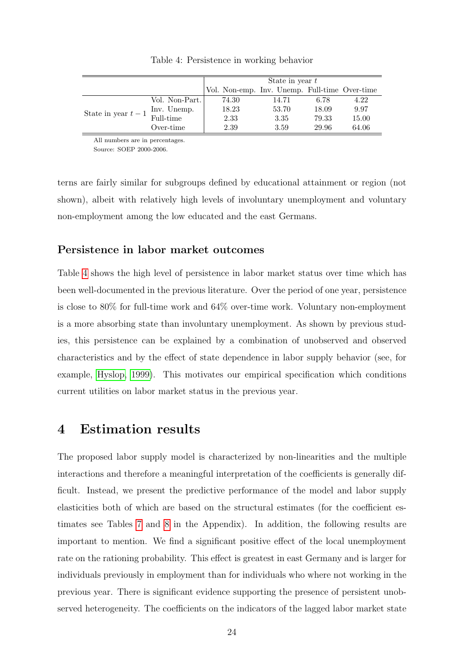<span id="page-24-1"></span>

|                     |                | State in year $t$                             |       |       |       |       |  |  |
|---------------------|----------------|-----------------------------------------------|-------|-------|-------|-------|--|--|
|                     |                | Vol. Non-emp. Inv. Unemp. Full-time Over-time |       |       |       |       |  |  |
| State in year $t-1$ | Vol. Non-Part. |                                               | 74.30 | 14.71 | 6.78  | 4.22  |  |  |
|                     | Inv. Unemp.    |                                               | 18.23 | 53.70 | 18.09 | 9.97  |  |  |
|                     | Full-time      |                                               | 2.33  | 3.35  | 79.33 | 15.00 |  |  |
|                     | Over-time      |                                               | 2.39  | 3.59  | 29.96 | 64.06 |  |  |

Table 4: Persistence in working behavior

All numbers are in percentages.

Source: SOEP 2000-2006.

terns are fairly similar for subgroups defined by educational attainment or region (not shown), albeit with relatively high levels of involuntary unemployment and voluntary non-employment among the low educated and the east Germans.

#### Persistence in labor market outcomes

Table [4](#page-24-1) shows the high level of persistence in labor market status over time which has been well-documented in the previous literature. Over the period of one year, persistence is close to 80% for full-time work and 64% over-time work. Voluntary non-employment is a more absorbing state than involuntary unemployment. As shown by previous studies, this persistence can be explained by a combination of unobserved and observed characteristics and by the effect of state dependence in labor supply behavior (see, for example, [Hyslop, 1999\)](#page-36-8). This motivates our empirical specification which conditions current utilities on labor market status in the previous year.

### <span id="page-24-0"></span>4 Estimation results

The proposed labor supply model is characterized by non-linearities and the multiple interactions and therefore a meaningful interpretation of the coefficients is generally difficult. Instead, we present the predictive performance of the model and labor supply elasticities both of which are based on the structural estimates (for the coefficient estimates see Tables [7](#page-44-0) and [8](#page-45-0) in the Appendix). In addition, the following results are important to mention. We find a significant positive effect of the local unemployment rate on the rationing probability. This effect is greatest in east Germany and is larger for individuals previously in employment than for individuals who where not working in the previous year. There is significant evidence supporting the presence of persistent unobserved heterogeneity. The coefficients on the indicators of the lagged labor market state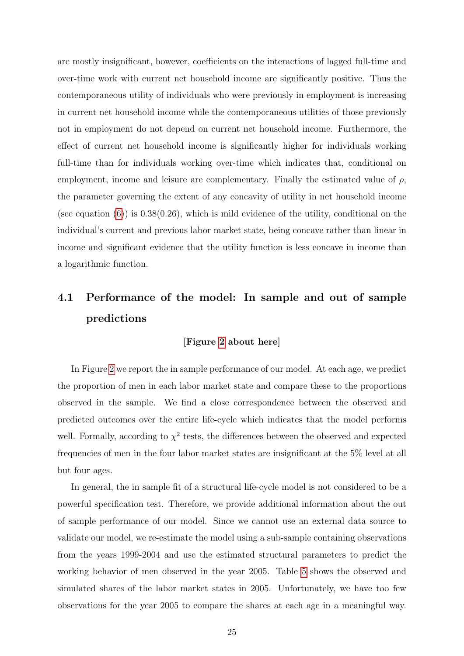are mostly insignificant, however, coefficients on the interactions of lagged full-time and over-time work with current net household income are significantly positive. Thus the contemporaneous utility of individuals who were previously in employment is increasing in current net household income while the contemporaneous utilities of those previously not in employment do not depend on current net household income. Furthermore, the effect of current net household income is significantly higher for individuals working full-time than for individuals working over-time which indicates that, conditional on employment, income and leisure are complementary. Finally the estimated value of  $\rho$ , the parameter governing the extent of any concavity of utility in net household income (see equation  $(6)$ ) is 0.38 $(0.26)$ , which is mild evidence of the utility, conditional on the individual's current and previous labor market state, being concave rather than linear in income and significant evidence that the utility function is less concave in income than a logarithmic function.

# 4.1 Performance of the model: In sample and out of sample predictions

#### [Figure [2](#page-38-1) about here]

In Figure [2](#page-38-1) we report the in sample performance of our model. At each age, we predict the proportion of men in each labor market state and compare these to the proportions observed in the sample. We find a close correspondence between the observed and predicted outcomes over the entire life-cycle which indicates that the model performs well. Formally, according to  $\chi^2$  tests, the differences between the observed and expected frequencies of men in the four labor market states are insignificant at the 5% level at all but four ages.

In general, the in sample fit of a structural life-cycle model is not considered to be a powerful specification test. Therefore, we provide additional information about the out of sample performance of our model. Since we cannot use an external data source to validate our model, we re-estimate the model using a sub-sample containing observations from the years 1999-2004 and use the estimated structural parameters to predict the working behavior of men observed in the year 2005. Table [5](#page-26-0) shows the observed and simulated shares of the labor market states in 2005. Unfortunately, we have too few observations for the year 2005 to compare the shares at each age in a meaningful way.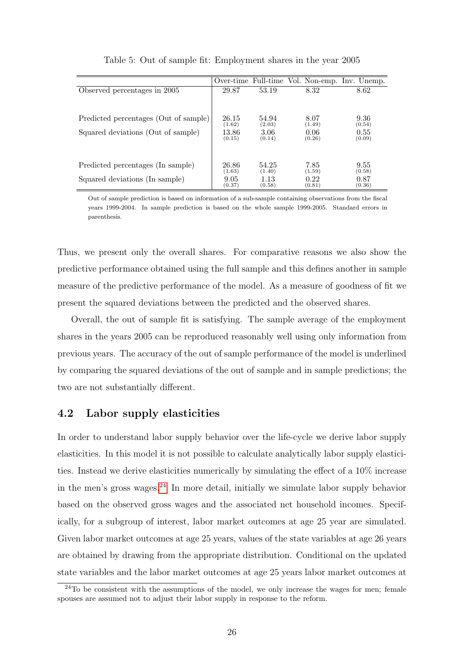<span id="page-26-0"></span>

|                                       |        |        | Over-time Full-time Vol. Non-emp. Inv. Unemp. |        |
|---------------------------------------|--------|--------|-----------------------------------------------|--------|
| Observed percentages in 2005          | 29.87  | 53.19  | 8.32                                          | 8.62   |
| Predicted percentages (Out of sample) | 26.15  | 54.94  | 8.07                                          | 9.36   |
|                                       | (1.62) | (2.03) | (1.49)                                        | (0.54) |
| Squared deviations (Out of sample)    | 13.86  | 3.06   | 0.06                                          | 0.55   |
|                                       | (0.15) | (0.14) | (0.26)                                        | (0.09) |
| Predicted percentages (In sample)     | 26.86  | 54.25  | 7.85                                          | 9.55   |
|                                       | (1.63) | (1.40) | (1.59)                                        | (0.58) |
| Squared deviations (In sample)        | 9.05   | 1.13   | 0.22                                          | 0.87   |
|                                       | (0.37) | (0.58) | (0.81)                                        | (0.36) |

Table 5: Out of sample fit: Employment shares in the year 2005

Out of sample prediction is based on information of a sub-sample containing observations from the fiscal years 1999-2004. In sample prediction is based on the whole sample 1999-2005. Standard errors in parenthesis.

Thus, we present only the overall shares. For comparative reasons we also show the predictive performance obtained using the full sample and this defines another in sample measure of the predictive performance of the model. As a measure of goodness of fit we present the squared deviations between the predicted and the observed shares.

Overall, the out of sample fit is satisfying. The sample average of the employment shares in the years 2005 can be reproduced reasonably well using only information from previous years. The accuracy of the out of sample performance of the model is underlined by comparing the squared deviations of the out of sample and in sample predictions; the two are not substantially different.

#### 4.2 Labor supply elasticities

In order to understand labor supply behavior over the life-cycle we derive labor supply elasticities. In this model it is not possible to calculate analytically labor supply elasticities. Instead we derive elasticities numerically by simulating the effect of a 10% increase in the men's gross wages.<sup>[24](#page-0-0)</sup> In more detail, initially we simulate labor supply behavior based on the observed gross wages and the associated net household incomes. Specifically, for a subgroup of interest, labor market outcomes at age 25 year are simulated. Given labor market outcomes at age 25 years, values of the state variables at age 26 years are obtained by drawing from the appropriate distribution. Conditional on the updated state variables and the labor market outcomes at age 25 years labor market outcomes at

 $24$ To be consistent with the assumptions of the model, we only increase the wages for men; female spouses are assumed not to adjust their labor supply in response to the reform.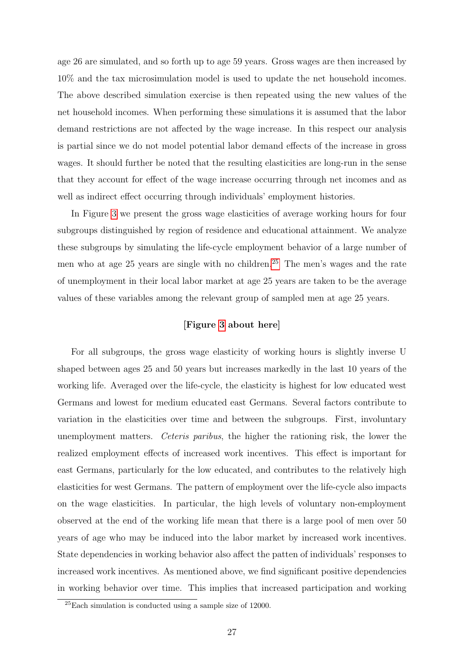age 26 are simulated, and so forth up to age 59 years. Gross wages are then increased by 10% and the tax microsimulation model is used to update the net household incomes. The above described simulation exercise is then repeated using the new values of the net household incomes. When performing these simulations it is assumed that the labor demand restrictions are not affected by the wage increase. In this respect our analysis is partial since we do not model potential labor demand effects of the increase in gross wages. It should further be noted that the resulting elasticities are long-run in the sense that they account for effect of the wage increase occurring through net incomes and as well as indirect effect occurring through individuals' employment histories.

In Figure [3](#page-39-0) we present the gross wage elasticities of average working hours for four subgroups distinguished by region of residence and educational attainment. We analyze these subgroups by simulating the life-cycle employment behavior of a large number of men who at age [25](#page-0-0) years are single with no children.<sup>25</sup> The men's wages and the rate of unemployment in their local labor market at age 25 years are taken to be the average values of these variables among the relevant group of sampled men at age 25 years.

#### [Figure [3](#page-39-0) about here]

For all subgroups, the gross wage elasticity of working hours is slightly inverse U shaped between ages 25 and 50 years but increases markedly in the last 10 years of the working life. Averaged over the life-cycle, the elasticity is highest for low educated west Germans and lowest for medium educated east Germans. Several factors contribute to variation in the elasticities over time and between the subgroups. First, involuntary unemployment matters. Ceteris paribus, the higher the rationing risk, the lower the realized employment effects of increased work incentives. This effect is important for east Germans, particularly for the low educated, and contributes to the relatively high elasticities for west Germans. The pattern of employment over the life-cycle also impacts on the wage elasticities. In particular, the high levels of voluntary non-employment observed at the end of the working life mean that there is a large pool of men over 50 years of age who may be induced into the labor market by increased work incentives. State dependencies in working behavior also affect the patten of individuals' responses to increased work incentives. As mentioned above, we find significant positive dependencies in working behavior over time. This implies that increased participation and working

<sup>25</sup>Each simulation is conducted using a sample size of 12000.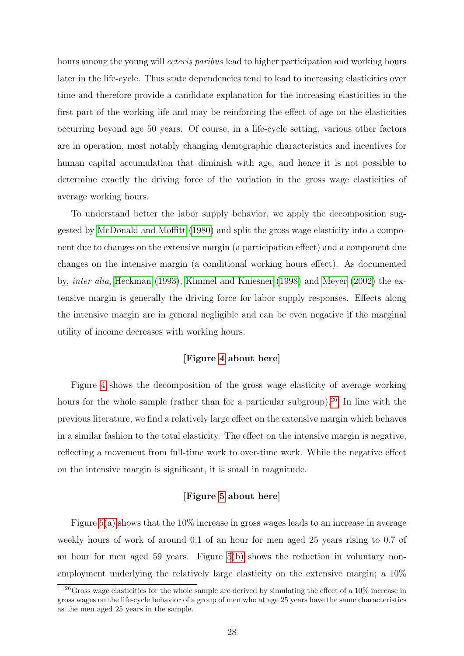hours among the young will *ceteris paribus* lead to higher participation and working hours later in the life-cycle. Thus state dependencies tend to lead to increasing elasticities over time and therefore provide a candidate explanation for the increasing elasticities in the first part of the working life and may be reinforcing the effect of age on the elasticities occurring beyond age 50 years. Of course, in a life-cycle setting, various other factors are in operation, most notably changing demographic characteristics and incentives for human capital accumulation that diminish with age, and hence it is not possible to determine exactly the driving force of the variation in the gross wage elasticities of average working hours.

To understand better the labor supply behavior, we apply the decomposition suggested by [McDonald and Moffitt \(1980\)](#page-36-10) and split the gross wage elasticity into a component due to changes on the extensive margin (a participation effect) and a component due changes on the intensive margin (a conditional working hours effect). As documented by, inter alia, [Heckman \(1993\)](#page-35-13), [Kimmel and Kniesner \(1998\)](#page-36-11) and [Meyer \(2002\)](#page-36-12) the extensive margin is generally the driving force for labor supply responses. Effects along the intensive margin are in general negligible and can be even negative if the marginal utility of income decreases with working hours.

#### [Figure [4](#page-39-1) about here]

Figure [4](#page-39-1) shows the decomposition of the gross wage elasticity of average working hours for the whole sample (rather than for a particular subgroup).<sup>[26](#page-0-0)</sup> In line with the previous literature, we find a relatively large effect on the extensive margin which behaves in a similar fashion to the total elasticity. The effect on the intensive margin is negative, reflecting a movement from full-time work to over-time work. While the negative effect on the intensive margin is significant, it is small in magnitude.

#### [Figure [5](#page-40-0) about here]

Figure  $5(a)$  $5(a)$  shows that the 10% increase in gross wages leads to an increase in average weekly hours of work of around 0.1 of an hour for men aged 25 years rising to 0.7 of an hour for men aged 59 years. Figure [5](#page-40-0)[\(b\)](#page-40-2) shows the reduction in voluntary nonemployment underlying the relatively large elasticity on the extensive margin; a 10%

<sup>&</sup>lt;sup>26</sup>Gross wage elasticities for the whole sample are derived by simulating the effect of a  $10\%$  increase in gross wages on the life-cycle behavior of a group of men who at age 25 years have the same characteristics as the men aged 25 years in the sample.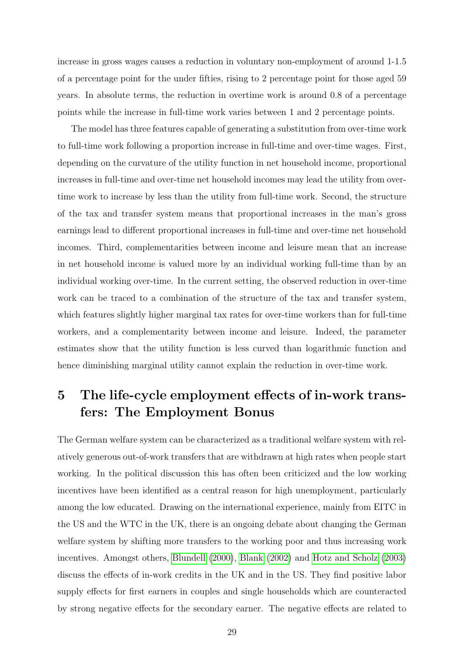increase in gross wages causes a reduction in voluntary non-employment of around 1-1.5 of a percentage point for the under fifties, rising to 2 percentage point for those aged 59 years. In absolute terms, the reduction in overtime work is around 0.8 of a percentage points while the increase in full-time work varies between 1 and 2 percentage points.

The model has three features capable of generating a substitution from over-time work to full-time work following a proportion increase in full-time and over-time wages. First, depending on the curvature of the utility function in net household income, proportional increases in full-time and over-time net household incomes may lead the utility from overtime work to increase by less than the utility from full-time work. Second, the structure of the tax and transfer system means that proportional increases in the man's gross earnings lead to different proportional increases in full-time and over-time net household incomes. Third, complementarities between income and leisure mean that an increase in net household income is valued more by an individual working full-time than by an individual working over-time. In the current setting, the observed reduction in over-time work can be traced to a combination of the structure of the tax and transfer system, which features slightly higher marginal tax rates for over-time workers than for full-time workers, and a complementarity between income and leisure. Indeed, the parameter estimates show that the utility function is less curved than logarithmic function and hence diminishing marginal utility cannot explain the reduction in over-time work.

# <span id="page-29-0"></span>5 The life-cycle employment effects of in-work transfers: The Employment Bonus

The German welfare system can be characterized as a traditional welfare system with relatively generous out-of-work transfers that are withdrawn at high rates when people start working. In the political discussion this has often been criticized and the low working incentives have been identified as a central reason for high unemployment, particularly among the low educated. Drawing on the international experience, mainly from EITC in the US and the WTC in the UK, there is an ongoing debate about changing the German welfare system by shifting more transfers to the working poor and thus increasing work incentives. Amongst others, [Blundell \(2000\)](#page-34-1), [Blank \(2002\)](#page-34-0) and [Hotz and Scholz \(2003\)](#page-36-0) discuss the effects of in-work credits in the UK and in the US. They find positive labor supply effects for first earners in couples and single households which are counteracted by strong negative effects for the secondary earner. The negative effects are related to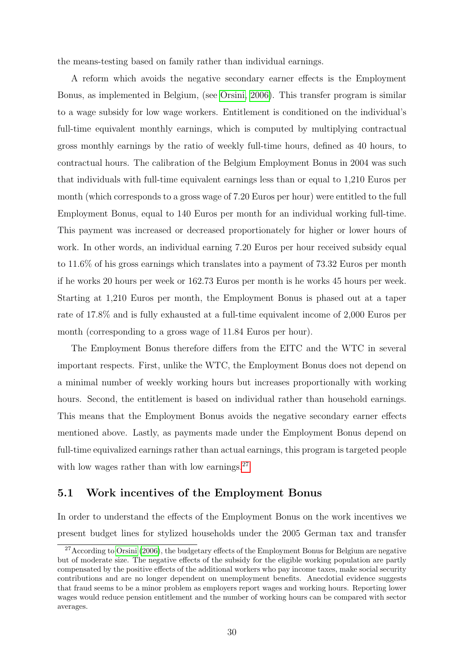the means-testing based on family rather than individual earnings.

A reform which avoids the negative secondary earner effects is the Employment Bonus, as implemented in Belgium, (see [Orsini, 2006\)](#page-36-13). This transfer program is similar to a wage subsidy for low wage workers. Entitlement is conditioned on the individual's full-time equivalent monthly earnings, which is computed by multiplying contractual gross monthly earnings by the ratio of weekly full-time hours, defined as 40 hours, to contractual hours. The calibration of the Belgium Employment Bonus in 2004 was such that individuals with full-time equivalent earnings less than or equal to 1,210 Euros per month (which corresponds to a gross wage of 7.20 Euros per hour) were entitled to the full Employment Bonus, equal to 140 Euros per month for an individual working full-time. This payment was increased or decreased proportionately for higher or lower hours of work. In other words, an individual earning 7.20 Euros per hour received subsidy equal to 11.6% of his gross earnings which translates into a payment of 73.32 Euros per month if he works 20 hours per week or 162.73 Euros per month is he works 45 hours per week. Starting at 1,210 Euros per month, the Employment Bonus is phased out at a taper rate of 17.8% and is fully exhausted at a full-time equivalent income of 2,000 Euros per month (corresponding to a gross wage of 11.84 Euros per hour).

The Employment Bonus therefore differs from the EITC and the WTC in several important respects. First, unlike the WTC, the Employment Bonus does not depend on a minimal number of weekly working hours but increases proportionally with working hours. Second, the entitlement is based on individual rather than household earnings. This means that the Employment Bonus avoids the negative secondary earner effects mentioned above. Lastly, as payments made under the Employment Bonus depend on full-time equivalized earnings rather than actual earnings, this program is targeted people with low wages rather than with low earnings. $27$ 

#### 5.1 Work incentives of the Employment Bonus

In order to understand the effects of the Employment Bonus on the work incentives we present budget lines for stylized households under the 2005 German tax and transfer

 $27$ According to [Orsini](#page-36-13) [\(2006\)](#page-36-13), the budgetary effects of the Employment Bonus for Belgium are negative but of moderate size. The negative effects of the subsidy for the eligible working population are partly compensated by the positive effects of the additional workers who pay income taxes, make social security contributions and are no longer dependent on unemployment benefits. Anecdotial evidence suggests that fraud seems to be a minor problem as employers report wages and working hours. Reporting lower wages would reduce pension entitlement and the number of working hours can be compared with sector averages.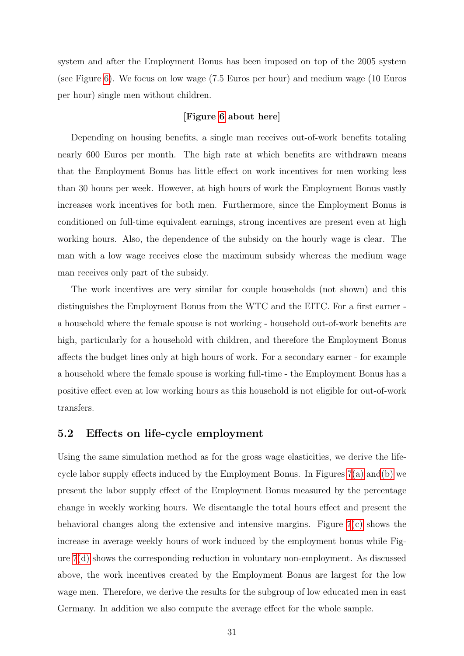system and after the Employment Bonus has been imposed on top of the 2005 system (see Figure [6\)](#page-40-3). We focus on low wage (7.5 Euros per hour) and medium wage (10 Euros per hour) single men without children.

#### [Figure [6](#page-40-3) about here]

Depending on housing benefits, a single man receives out-of-work benefits totaling nearly 600 Euros per month. The high rate at which benefits are withdrawn means that the Employment Bonus has little effect on work incentives for men working less than 30 hours per week. However, at high hours of work the Employment Bonus vastly increases work incentives for both men. Furthermore, since the Employment Bonus is conditioned on full-time equivalent earnings, strong incentives are present even at high working hours. Also, the dependence of the subsidy on the hourly wage is clear. The man with a low wage receives close the maximum subsidy whereas the medium wage man receives only part of the subsidy.

The work incentives are very similar for couple households (not shown) and this distinguishes the Employment Bonus from the WTC and the EITC. For a first earner a household where the female spouse is not working - household out-of-work benefits are high, particularly for a household with children, and therefore the Employment Bonus affects the budget lines only at high hours of work. For a secondary earner - for example a household where the female spouse is working full-time - the Employment Bonus has a positive effect even at low working hours as this household is not eligible for out-of-work transfers.

#### 5.2 Effects on life-cycle employment

Using the same simulation method as for the gross wage elasticities, we derive the lifecycle labor supply effects induced by the Employment Bonus. In Figures  $7(a)$  $7(a)$  an[d\(b\)](#page-41-2) we present the labor supply effect of the Employment Bonus measured by the percentage change in weekly working hours. We disentangle the total hours effect and present the behavioral changes along the extensive and intensive margins. Figure [7](#page-41-0)[\(c\)](#page-41-3) shows the increase in average weekly hours of work induced by the employment bonus while Figure [7](#page-41-0)[\(d\)](#page-41-4) shows the corresponding reduction in voluntary non-employment. As discussed above, the work incentives created by the Employment Bonus are largest for the low wage men. Therefore, we derive the results for the subgroup of low educated men in east Germany. In addition we also compute the average effect for the whole sample.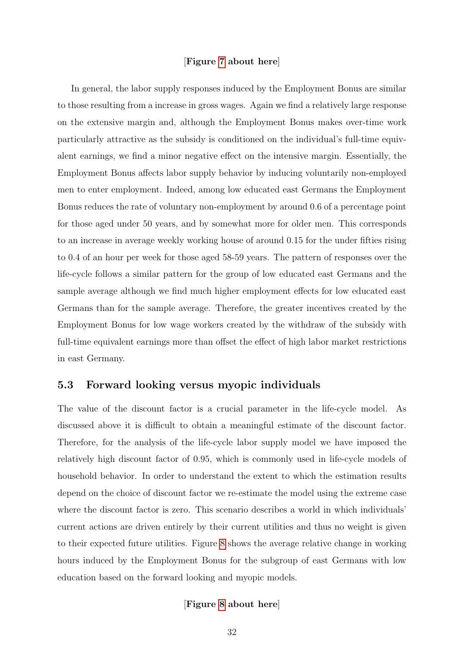#### [Figure [7](#page-41-0) about here]

In general, the labor supply responses induced by the Employment Bonus are similar to those resulting from a increase in gross wages. Again we find a relatively large response on the extensive margin and, although the Employment Bonus makes over-time work particularly attractive as the subsidy is conditioned on the individual's full-time equivalent earnings, we find a minor negative effect on the intensive margin. Essentially, the Employment Bonus affects labor supply behavior by inducing voluntarily non-employed men to enter employment. Indeed, among low educated east Germans the Employment Bonus reduces the rate of voluntary non-employment by around 0.6 of a percentage point for those aged under 50 years, and by somewhat more for older men. This corresponds to an increase in average weekly working house of around 0.15 for the under fifties rising to 0.4 of an hour per week for those aged 58-59 years. The pattern of responses over the life-cycle follows a similar pattern for the group of low educated east Germans and the sample average although we find much higher employment effects for low educated east Germans than for the sample average. Therefore, the greater incentives created by the Employment Bonus for low wage workers created by the withdraw of the subsidy with full-time equivalent earnings more than offset the effect of high labor market restrictions in east Germany.

#### <span id="page-32-0"></span>5.3 Forward looking versus myopic individuals

The value of the discount factor is a crucial parameter in the life-cycle model. As discussed above it is difficult to obtain a meaningful estimate of the discount factor. Therefore, for the analysis of the life-cycle labor supply model we have imposed the relatively high discount factor of 0.95, which is commonly used in life-cycle models of household behavior. In order to understand the extent to which the estimation results depend on the choice of discount factor we re-estimate the model using the extreme case where the discount factor is zero. This scenario describes a world in which individuals' current actions are driven entirely by their current utilities and thus no weight is given to their expected future utilities. Figure [8](#page-42-0) shows the average relative change in working hours induced by the Employment Bonus for the subgroup of east Germans with low education based on the forward looking and myopic models.

#### [Figure [8](#page-42-0) about here]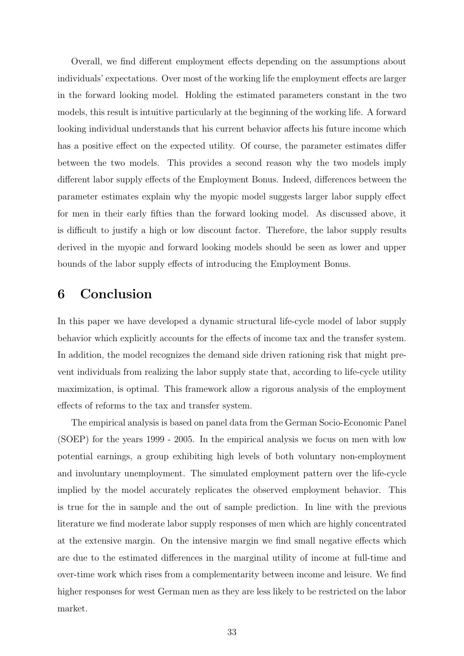Overall, we find different employment effects depending on the assumptions about individuals' expectations. Over most of the working life the employment effects are larger in the forward looking model. Holding the estimated parameters constant in the two models, this result is intuitive particularly at the beginning of the working life. A forward looking individual understands that his current behavior affects his future income which has a positive effect on the expected utility. Of course, the parameter estimates differ between the two models. This provides a second reason why the two models imply different labor supply effects of the Employment Bonus. Indeed, differences between the parameter estimates explain why the myopic model suggests larger labor supply effect for men in their early fifties than the forward looking model. As discussed above, it is difficult to justify a high or low discount factor. Therefore, the labor supply results derived in the myopic and forward looking models should be seen as lower and upper bounds of the labor supply effects of introducing the Employment Bonus.

## 6 Conclusion

In this paper we have developed a dynamic structural life-cycle model of labor supply behavior which explicitly accounts for the effects of income tax and the transfer system. In addition, the model recognizes the demand side driven rationing risk that might prevent individuals from realizing the labor supply state that, according to life-cycle utility maximization, is optimal. This framework allow a rigorous analysis of the employment effects of reforms to the tax and transfer system.

The empirical analysis is based on panel data from the German Socio-Economic Panel (SOEP) for the years 1999 - 2005. In the empirical analysis we focus on men with low potential earnings, a group exhibiting high levels of both voluntary non-employment and involuntary unemployment. The simulated employment pattern over the life-cycle implied by the model accurately replicates the observed employment behavior. This is true for the in sample and the out of sample prediction. In line with the previous literature we find moderate labor supply responses of men which are highly concentrated at the extensive margin. On the intensive margin we find small negative effects which are due to the estimated differences in the marginal utility of income at full-time and over-time work which rises from a complementarity between income and leisure. We find higher responses for west German men as they are less likely to be restricted on the labor market.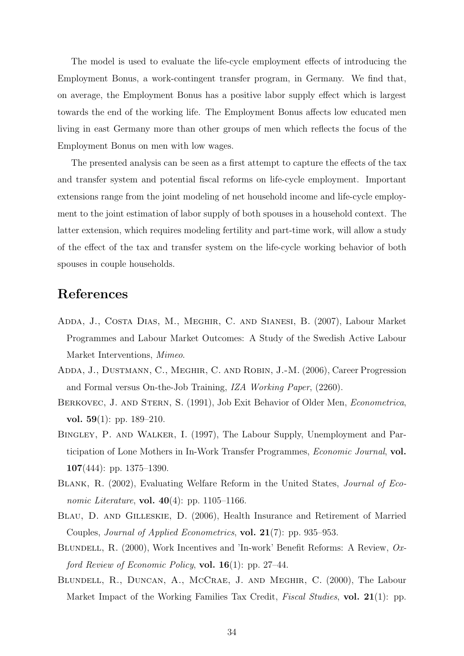The model is used to evaluate the life-cycle employment effects of introducing the Employment Bonus, a work-contingent transfer program, in Germany. We find that, on average, the Employment Bonus has a positive labor supply effect which is largest towards the end of the working life. The Employment Bonus affects low educated men living in east Germany more than other groups of men which reflects the focus of the Employment Bonus on men with low wages.

The presented analysis can be seen as a first attempt to capture the effects of the tax and transfer system and potential fiscal reforms on life-cycle employment. Important extensions range from the joint modeling of net household income and life-cycle employment to the joint estimation of labor supply of both spouses in a household context. The latter extension, which requires modeling fertility and part-time work, will allow a study of the effect of the tax and transfer system on the life-cycle working behavior of both spouses in couple households.

### References

- <span id="page-34-6"></span>Adda, J., Costa Dias, M., Meghir, C. and Sianesi, B. (2007), Labour Market Programmes and Labour Market Outcomes: A Study of the Swedish Active Labour Market Interventions, Mimeo.
- <span id="page-34-3"></span>Adda, J., Dustmann, C., Meghir, C. and Robin, J.-M. (2006), Career Progression and Formal versus On-the-Job Training, IZA Working Paper, (2260).
- <span id="page-34-4"></span>BERKOVEC, J. AND STERN, S. (1991), Job Exit Behavior of Older Men, *Econometrica*, vol.  $59(1)$ : pp. 189–210.
- <span id="page-34-5"></span>BINGLEY, P. AND WALKER, I. (1997), The Labour Supply, Unemployment and Participation of Lone Mothers in In-Work Transfer Programmes, Economic Journal, vol. 107(444): pp. 1375–1390.
- <span id="page-34-0"></span>Blank, R. (2002), Evaluating Welfare Reform in the United States, Journal of Eco*nomic Literature*, vol. 40(4): pp. 1105–1166.
- <span id="page-34-7"></span>Blau, D. and Gilleskie, D. (2006), Health Insurance and Retirement of Married Couples, Journal of Applied Econometrics, vol. 21(7): pp. 935–953.
- <span id="page-34-1"></span>BLUNDELL, R. (2000), Work Incentives and 'In-work' Benefit Reforms: A Review, Oxford Review of Economic Policy, vol.  $16(1)$ : pp. 27–44.
- <span id="page-34-2"></span>Blundell, R., Duncan, A., McCrae, J. and Meghir, C. (2000), The Labour Market Impact of the Working Families Tax Credit, *Fiscal Studies*, vol.  $21(1)$ : pp.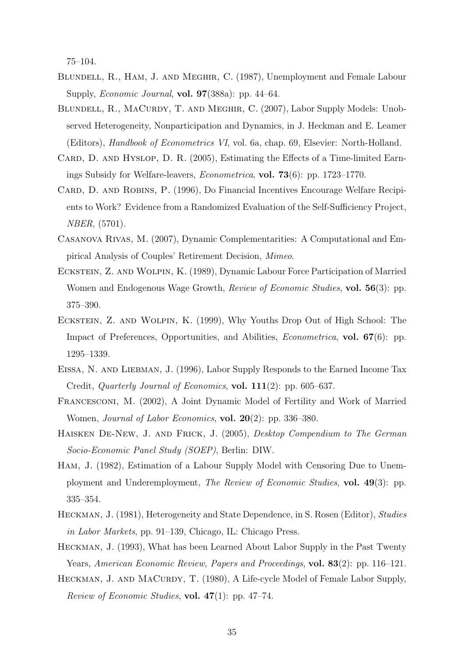75–104.

- <span id="page-35-7"></span>BLUNDELL, R., HAM, J. AND MEGHIR, C. (1987), Unemployment and Female Labour Supply, *Economic Journal*, **vol. 97**(388a): pp. 44–64.
- <span id="page-35-3"></span>BLUNDELL, R., MACURDY, T. AND MEGHIR, C. (2007), Labor Supply Models: Unobserved Heterogeneity, Nonparticipation and Dynamics, in J. Heckman and E. Leamer (Editors), Handbook of Econometrics VI, vol. 6a, chap. 69, Elsevier: North-Holland.
- <span id="page-35-0"></span>CARD, D. AND HYSLOP, D. R. (2005), Estimating the Effects of a Time-limited Earnings Subsidy for Welfare-leavers, Econometrica, vol. 73(6): pp. 1723–1770.
- <span id="page-35-1"></span>CARD, D. AND ROBINS, P. (1996), Do Financial Incentives Encourage Welfare Recipients to Work? Evidence from a Randomized Evaluation of the Self-Sufficiency Project, NBER, (5701).
- <span id="page-35-9"></span>Casanova Rivas, M. (2007), Dynamic Complementarities: A Computational and Empirical Analysis of Couples' Retirement Decision, Mimeo.
- <span id="page-35-5"></span>Eckstein, Z. and Wolpin, K. (1989), Dynamic Labour Force Participation of Married Women and Endogenous Wage Growth, Review of Economic Studies, vol. 56(3): pp. 375–390.
- <span id="page-35-6"></span>Eckstein, Z. and Wolpin, K. (1999), Why Youths Drop Out of High School: The Impact of Preferences, Opportunities, and Abilities, *Econometrica*, vol. 67(6): pp. 1295–1339.
- <span id="page-35-2"></span>Eissa, N. and Liebman, J. (1996), Labor Supply Responds to the Earned Income Tax Credit, Quarterly Journal of Economics, vol.  $111(2)$ : pp. 605–637.
- <span id="page-35-10"></span>Francesconi, M. (2002), A Joint Dynamic Model of Fertility and Work of Married Women, *Journal of Labor Economics*, **vol. 20** $(2)$ : pp. 336–380.
- <span id="page-35-12"></span>HAISKEN DE-NEW, J. AND FRICK, J. (2005), Desktop Compendium to The German Socio-Economic Panel Study (SOEP), Berlin: DIW.
- <span id="page-35-8"></span>Ham, J. (1982), Estimation of a Labour Supply Model with Censoring Due to Unemployment and Underemployment, The Review of Economic Studies, vol. 49(3): pp. 335–354.
- <span id="page-35-11"></span>Heckman, J. (1981), Heterogeneity and State Dependence, in S. Rosen (Editor), Studies in Labor Markets, pp. 91–139, Chicago, IL: Chicago Press.
- <span id="page-35-13"></span>Heckman, J. (1993), What has been Learned About Labor Supply in the Past Twenty Years, American Economic Review, Papers and Proceedings, vol. 83(2): pp. 116–121.
- <span id="page-35-4"></span>HECKMAN, J. AND MACURDY, T. (1980), A Life-cycle Model of Female Labor Supply, Review of Economic Studies, vol.  $47(1)$ : pp.  $47-74$ .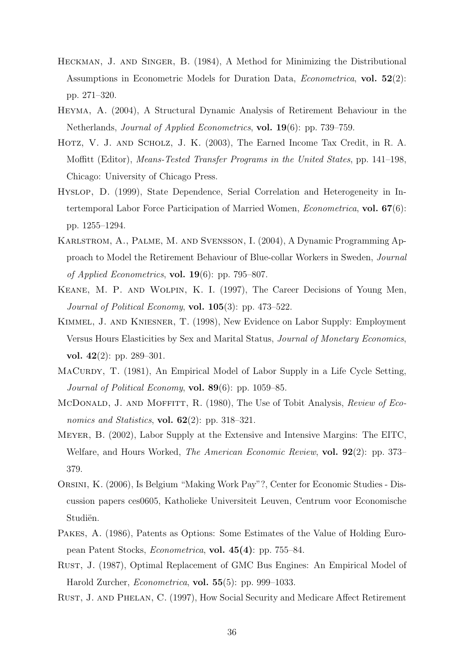- <span id="page-36-9"></span>Heckman, J. and Singer, B. (1984), A Method for Minimizing the Distributional Assumptions in Econometric Models for Duration Data, *Econometrica*, vol. 52(2): pp. 271–320.
- <span id="page-36-7"></span>Heyma, A. (2004), A Structural Dynamic Analysis of Retirement Behaviour in the Netherlands, Journal of Applied Econometrics, vol. 19(6): pp. 739–759.
- <span id="page-36-0"></span>HOTZ, V. J. AND SCHOLZ, J. K. (2003), The Earned Income Tax Credit, in R. A. Moffitt (Editor), Means-Tested Transfer Programs in the United States, pp. 141–198, Chicago: University of Chicago Press.
- <span id="page-36-8"></span>Hyslop, D. (1999), State Dependence, Serial Correlation and Heterogeneity in Intertemporal Labor Force Participation of Married Women, *Econometrica*, vol. 67(6): pp. 1255–1294.
- <span id="page-36-6"></span>Karlstrom, A., Palme, M. and Svensson, I. (2004), A Dynamic Programming Approach to Model the Retirement Behaviour of Blue-collar Workers in Sweden, Journal of Applied Econometrics, vol.  $19(6)$ : pp. 795–807.
- <span id="page-36-4"></span>Keane, M. P. and Wolpin, K. I. (1997), The Career Decisions of Young Men, Journal of Political Economy, vol. 105(3): pp. 473–522.
- <span id="page-36-11"></span>Kimmel, J. and Kniesner, T. (1998), New Evidence on Labor Supply: Employment Versus Hours Elasticities by Sex and Marital Status, Journal of Monetary Economics, vol. 42 $(2)$ : pp. 289–301.
- <span id="page-36-1"></span>MACURDY, T. (1981), An Empirical Model of Labor Supply in a Life Cycle Setting, Journal of Political Economy, vol. 89(6): pp. 1059-85.
- <span id="page-36-10"></span>McDONALD, J. AND MOFFITT, R. (1980), The Use of Tobit Analysis, Review of Economics and Statistics, vol.  $62(2)$ : pp. 318–321.
- <span id="page-36-12"></span>Meyer, B. (2002), Labor Supply at the Extensive and Intensive Margins: The EITC, Welfare, and Hours Worked, *The American Economic Review*, **vol. 92**(2): pp. 373– 379.
- <span id="page-36-13"></span>Orsini, K. (2006), Is Belgium "Making Work Pay"?, Center for Economic Studies - Discussion papers ces0605, Katholieke Universiteit Leuven, Centrum voor Economische Studiën.
- <span id="page-36-2"></span>Pakes, A. (1986), Patents as Options: Some Estimates of the Value of Holding European Patent Stocks, Econometrica, vol. 45(4): pp. 755–84.
- <span id="page-36-3"></span>Rust, J. (1987), Optimal Replacement of GMC Bus Engines: An Empirical Model of Harold Zurcher, *Econometrica*, **vol. 55**(5): pp. 999–1033.
- <span id="page-36-5"></span>RUST, J. AND PHELAN, C. (1997), How Social Security and Medicare Affect Retirement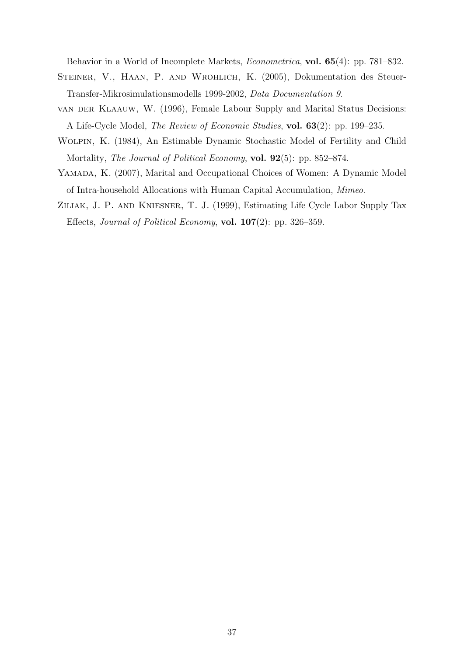Behavior in a World of Incomplete Markets, *Econometrica*, **vol. 65**(4): pp. 781–832.

- <span id="page-37-4"></span>Steiner, V., Haan, P. and Wrohlich, K. (2005), Dokumentation des Steuer-Transfer-Mikrosimulationsmodells 1999-2002, Data Documentation 9.
- <span id="page-37-2"></span>van der Klaauw, W. (1996), Female Labour Supply and Marital Status Decisions: A Life-Cycle Model, The Review of Economic Studies, vol. 63(2): pp. 199–235.
- <span id="page-37-1"></span>Wolpin, K. (1984), An Estimable Dynamic Stochastic Model of Fertility and Child Mortality, *The Journal of Political Economy*, **vol. 92**(5): pp. 852–874.
- <span id="page-37-3"></span>YAMADA, K. (2007), Marital and Occupational Choices of Women: A Dynamic Model of Intra-household Allocations with Human Capital Accumulation, Mimeo.
- <span id="page-37-0"></span>Ziliak, J. P. and Kniesner, T. J. (1999), Estimating Life Cycle Labor Supply Tax Effects, Journal of Political Economy, vol.  $107(2)$ : pp. 326–359.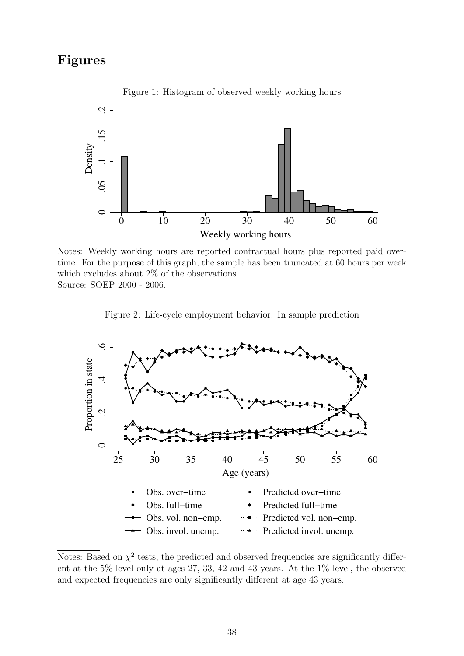## <span id="page-38-0"></span>Figures



Figure 1: Histogram of observed weekly working hours

Notes: Weekly working hours are reported contractual hours plus reported paid overtime. For the purpose of this graph, the sample has been truncated at 60 hours per week which excludes about 2% of the observations. Source: SOEP 2000 - 2006.

Figure 2: Life-cycle employment behavior: In sample prediction

<span id="page-38-1"></span>

Notes: Based on  $\chi^2$  tests, the predicted and observed frequencies are significantly different at the 5% level only at ages 27, 33, 42 and 43 years. At the 1% level, the observed and expected frequencies are only significantly different at age 43 years.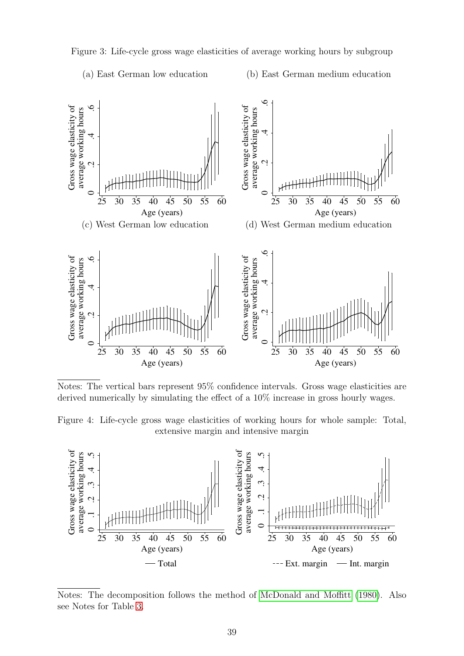

<span id="page-39-0"></span>Figure 3: Life-cycle gross wage elasticities of average working hours by subgroup

(a) East German low education

(b) East German medium education

Notes: The vertical bars represent 95% confidence intervals. Gross wage elasticities are derived numerically by simulating the effect of a 10% increase in gross hourly wages.

<span id="page-39-1"></span>Figure 4: Life-cycle gross wage elasticities of working hours for whole sample: Total, extensive margin and intensive margin



Notes: The decomposition follows the method of [McDonald and Moffitt \(1980\)](#page-36-10). Also see Notes for Table [3.](#page-39-0)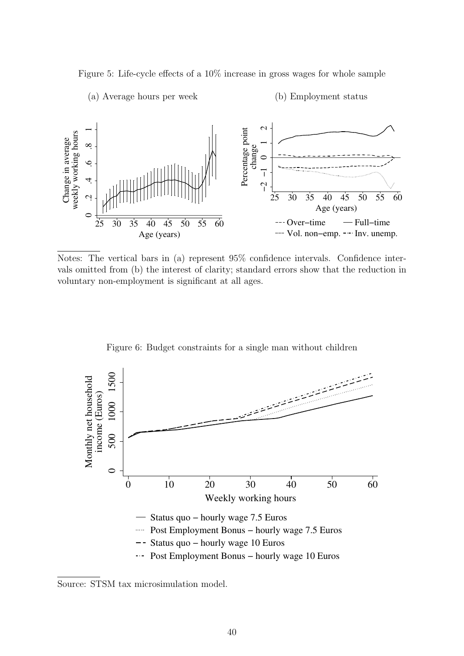<span id="page-40-1"></span><span id="page-40-0"></span>

<span id="page-40-2"></span>(b) Employment status

(a) Average hours per week



Notes: The vertical bars in (a) represent  $95\%$  confidence intervals. Confidence intervals omitted from (b) the interest of clarity; standard errors show that the reduction in voluntary non-employment is significant at all ages.

<span id="page-40-3"></span>

Figure 6: Budget constraints for a single man without children

Source: STSM tax microsimulation model.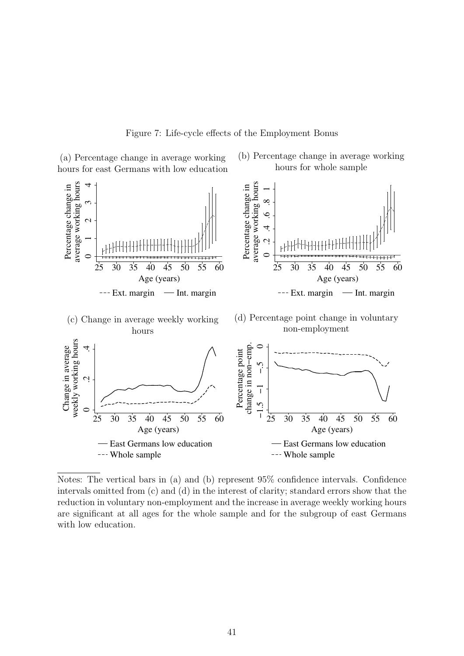Figure 7: Life-cycle effects of the Employment Bonus

<span id="page-41-1"></span><span id="page-41-0"></span>(a) Percentage change in average working hours for east Germans with low education

<span id="page-41-4"></span><span id="page-41-2"></span>

<span id="page-41-3"></span>

Notes: The vertical bars in (a) and (b) represent 95% confidence intervals. Confidence intervals omitted from (c) and (d) in the interest of clarity; standard errors show that the reduction in voluntary non-employment and the increase in average weekly working hours are significant at all ages for the whole sample and for the subgroup of east Germans with low education.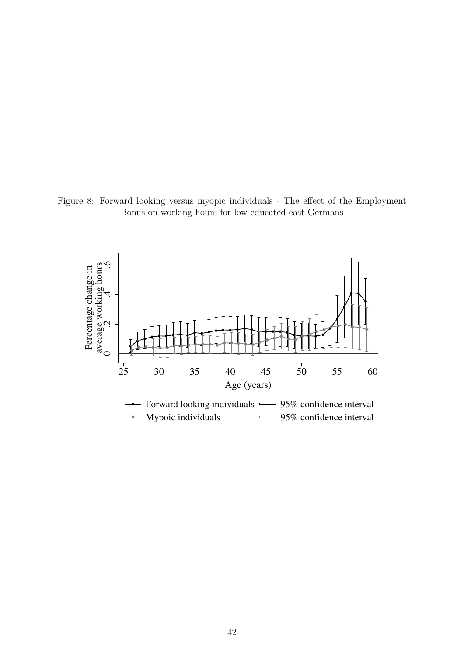<span id="page-42-0"></span>Figure 8: Forward looking versus myopic individuals - The effect of the Employment Bonus on working hours for low educated east Germans

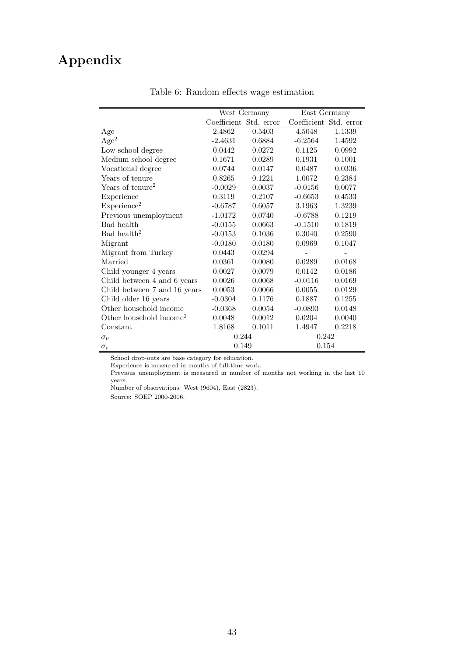# <span id="page-43-0"></span>Appendix

|                                     | West Germany           |        | East Germany           |        |  |
|-------------------------------------|------------------------|--------|------------------------|--------|--|
|                                     | Coefficient Std. error |        | Coefficient Std. error |        |  |
| Age                                 | $2.\overline{4862}$    | 0.5403 | 4.5048                 | 1.1339 |  |
| Age <sup>2</sup>                    | $-2.4631$              | 0.6884 | $-6.2564$              | 1.4592 |  |
| Low school degree                   | 0.0442                 | 0.0272 | 0.1125                 | 0.0992 |  |
| Medium school degree                | 0.1671                 | 0.0289 | 0.1931                 | 0.1001 |  |
| Vocational degree                   | 0.0744                 | 0.0147 | 0.0487                 | 0.0336 |  |
| Years of tenure                     | 0.8265                 | 0.1221 | 1.0072                 | 0.2384 |  |
| Years of tenure <sup>2</sup>        | $-0.0029$              | 0.0037 | $-0.0156$              | 0.0077 |  |
| Experience                          | 0.3119                 | 0.2107 | $-0.6653$              | 0.4533 |  |
| Experience <sup>2</sup>             | $-0.6787$              | 0.6057 | 3.1963                 | 1.3239 |  |
| Previous unemployment               | $-1.0172$              | 0.0740 | $-0.6788$              | 0.1219 |  |
| Bad health                          | $-0.0155$              | 0.0663 | $-0.1510$              | 0.1819 |  |
| Bad health <sup>2</sup>             | $-0.0153$              | 0.1036 | 0.3040                 | 0.2590 |  |
| Migrant                             | $-0.0180$              | 0.0180 | 0.0969                 | 0.1047 |  |
| Migrant from Turkey                 | 0.0443                 | 0.0294 |                        |        |  |
| Married                             | 0.0361                 | 0.0080 | 0.0289                 | 0.0168 |  |
| Child younger 4 years               | 0.0027                 | 0.0079 | 0.0142                 | 0.0186 |  |
| Child between 4 and 6 years         | 0.0026                 | 0.0068 | $-0.0116$              | 0.0169 |  |
| Child between 7 and 16 years        | 0.0053                 | 0.0066 | 0.0055                 | 0.0129 |  |
| Child older 16 years                | $-0.0304$              | 0.1176 | 0.1887                 | 0.1255 |  |
| Other household income              | $-0.0368$              | 0.0054 | $-0.0893$              | 0.0148 |  |
| Other household income <sup>2</sup> | 0.0048                 | 0.0012 | 0.0204                 | 0.0040 |  |
| Constant                            | 1.8168                 | 0.1011 | 1.4947                 | 0.2218 |  |
| $\sigma_{\nu}$                      | 0.244                  |        | 0.242                  |        |  |
| $\sigma_{\epsilon}$                 | 0.149                  |        | 0.154                  |        |  |

Table 6: Random effects wage estimation

School drop-outs are base category for education.

Experience is measured in months of full-time work.

Previous unemployment is measured in number of months not working in the last 10 years.

Number of observations: West (9604), East (2823).

Source: SOEP 2000-2006.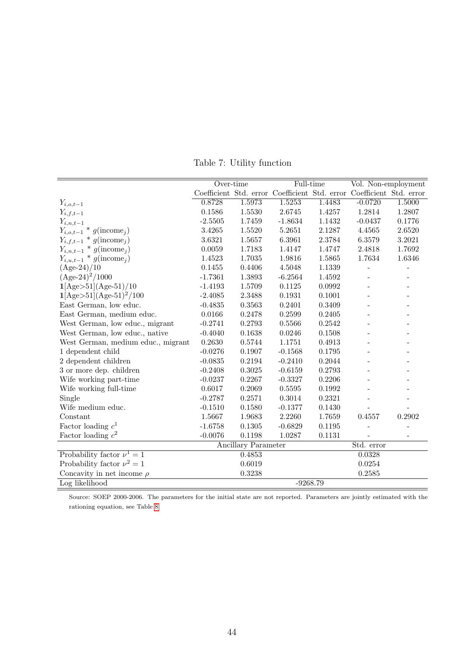<span id="page-44-0"></span>

|                                    | Full-time<br>Over-time     |        | Vol. Non-employment |        |                                                                      |        |
|------------------------------------|----------------------------|--------|---------------------|--------|----------------------------------------------------------------------|--------|
|                                    |                            |        |                     |        | Coefficient Std. error Coefficient Std. error Coefficient Std. error |        |
| $Y_{i,o,t-1}$                      | 0.8728                     | 1.5973 | 1.5253              | 1.4483 | $-0.0720$                                                            | 1.5000 |
| $Y_{i,f,t-1}$                      | 0.1586                     | 1.5530 | 2.6745              | 1.4257 | 1.2814                                                               | 1.2807 |
| $Y_{i,n,t-1}$                      | $-2.5505$                  | 1.7459 | $-1.8634$           | 1.1432 | $-0.0437$                                                            | 0.1776 |
| $Y_{i,o,t-1} * g(\text{income}_j)$ | 3.4265                     | 1.5520 | 5.2651              | 2.1287 | 4.4565                                                               | 2.6520 |
| $Y_{i,f,t-1} * g(\text{income}_j)$ | 3.6321                     | 1.5657 | 6.3961              | 2.3784 | 6.3579                                                               | 3.2021 |
| $Y_{i,n,t-1} * g(\text{income}_i)$ | 0.0059                     | 1.7183 | 1.4147              | 1.4747 | 2.4818                                                               | 1.7692 |
| $Y_{i,u,t-1} * g(\text{income}_i)$ | 1.4523                     | 1.7035 | 1.9816              | 1.5865 | 1.7634                                                               | 1.6346 |
| $(Age-24)/10$                      | 0.1455                     | 0.4406 | 4.5048              | 1.1339 |                                                                      |        |
| $(Age-24)^2/1000$                  | $-1.7361$                  | 1.3893 | $-6.2564$           | 1.4592 |                                                                      |        |
| $1[Age>51](Age-51)/10$             | $-1.4193$                  | 1.5709 | 0.1125              | 0.0992 |                                                                      |        |
| $1[Age>51](Age-51)^{2}/100$        | $-2.4085$                  | 2.3488 | 0.1931              | 0.1001 |                                                                      |        |
| East German, low educ.             | $-0.4835$                  | 0.3563 | 0.2401              | 0.3409 |                                                                      |        |
| East German, medium educ.          | 0.0166                     | 0.2478 | 0.2599              | 0.2405 |                                                                      |        |
| West German, low educ., migrant    | $-0.2741$                  | 0.2793 | 0.5566              | 0.2542 |                                                                      |        |
| West German, low educ., native     | $-0.4040$                  | 0.1638 | 0.0246              | 0.1508 |                                                                      |        |
| West German, medium educ., migrant | 0.2630                     | 0.5744 | 1.1751              | 0.4913 |                                                                      |        |
| 1 dependent child                  | $-0.0276$                  | 0.1907 | $-0.1568$           | 0.1795 |                                                                      |        |
| 2 dependent children               | $-0.0835$                  | 0.2194 | $-0.2410$           | 0.2044 |                                                                      |        |
| 3 or more dep. children            | $-0.2408$                  | 0.3025 | $-0.6159$           | 0.2793 |                                                                      |        |
| Wife working part-time             | $-0.0237$                  | 0.2267 | $-0.3327$           | 0.2206 |                                                                      |        |
| Wife working full-time             | 0.6017                     | 0.2069 | 0.5595              | 0.1992 |                                                                      |        |
| Single                             | $-0.2787$                  | 0.2571 | 0.3014              | 0.2321 |                                                                      |        |
| Wife medium educ.                  | $-0.1510$                  | 0.1580 | $-0.1377$           | 0.1430 |                                                                      |        |
| Constant                           | 1.5667                     | 1.9683 | 2.2260              | 1.7659 | 0.4557                                                               | 0.2902 |
| Factor loading $c^1$               | $-1.6758$                  | 0.1305 | $-0.6829$           | 0.1195 |                                                                      |        |
| Factor loading $c^2$               | $-0.0076$                  | 0.1198 | 1.0287              | 0.1131 |                                                                      |        |
|                                    | <b>Ancillary Parameter</b> |        | Std. error          |        |                                                                      |        |
| Probability factor $\nu^1 = 1$     |                            | 0.4853 |                     |        | 0.0328                                                               |        |
| Probability factor $\nu^2 = 1$     |                            | 0.6019 |                     | 0.0254 |                                                                      |        |
| Concavity in net income $\rho$     | 0.3238<br>0.2585           |        |                     |        |                                                                      |        |
| Log likelihood                     |                            |        | $-9268.79$          |        |                                                                      |        |

Table 7: Utility function

Source: SOEP 2000-2006. The parameters for the initial state are not reported. Parameters are jointly estimated with the rationing equation, see Table [8.](#page-45-0)